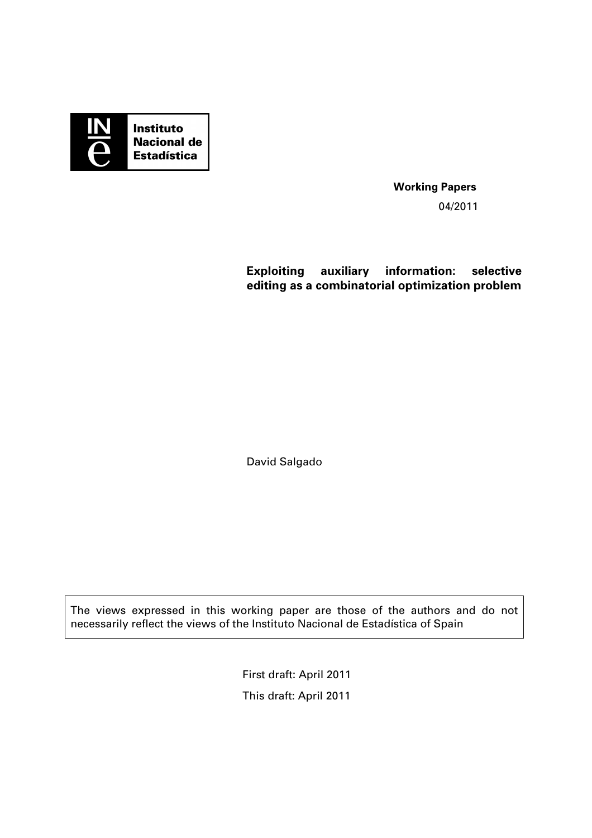

**Working Papers**  04/2011

**Exploiting auxiliary information: selective editing as a combinatorial optimization problem**

David Salgado

The views expressed in this working paper are those of the authors and do not necessarily reflect the views of the Instituto Nacional de Estadística of Spain

> First draft: April 2011 This draft: April 2011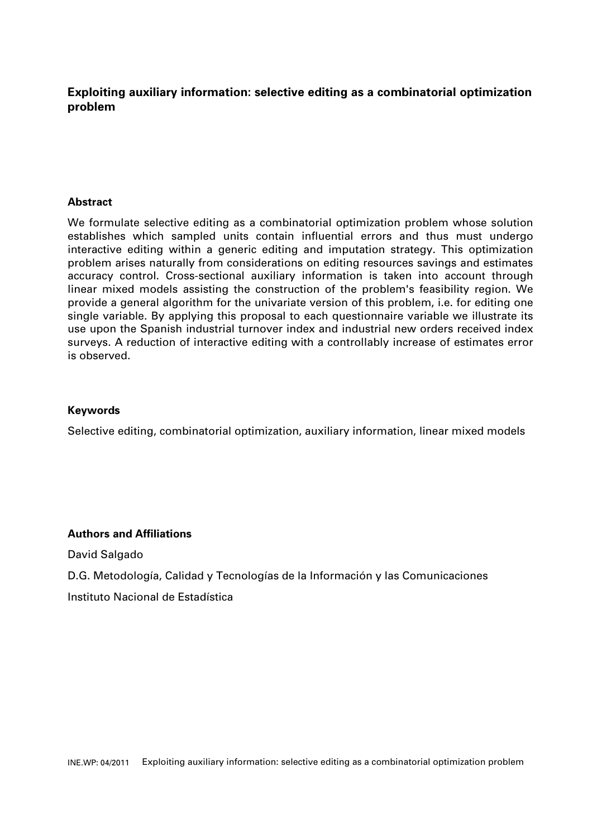### **Exploiting auxiliary information: selective editing as a combinatorial optimization problem**

### **Abstract**

We formulate selective editing as a combinatorial optimization problem whose solution establishes which sampled units contain influential errors and thus must undergo interactive editing within a generic editing and imputation strategy. This optimization problem arises naturally from considerations on editing resources savings and estimates accuracy control. Cross-sectional auxiliary information is taken into account through linear mixed models assisting the construction of the problem's feasibility region. We provide a general algorithm for the univariate version of this problem, i.e. for editing one single variable. By applying this proposal to each questionnaire variable we illustrate its use upon the Spanish industrial turnover index and industrial new orders received index surveys. A reduction of interactive editing with a controllably increase of estimates error is observed.

### **Keywords**

Selective editing, combinatorial optimization, auxiliary information, linear mixed models

### **Authors and Affiliations**

David Salgado

D.G. Metodología, Calidad y Tecnologías de la Información y las Comunicaciones

Instituto Nacional de Estadística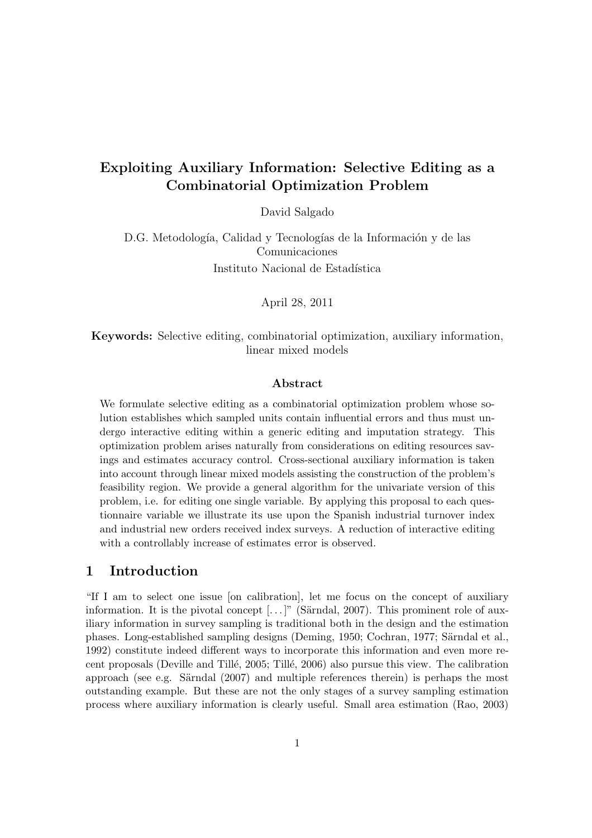## Exploiting Auxiliary Information: Selective Editing as a Combinatorial Optimization Problem

David Salgado

D.G. Metodología, Calidad y Tecnologías de la Información y de las Comunicaciones Instituto Nacional de Estadística

April 28, 2011

Keywords: Selective editing, combinatorial optimization, auxiliary information, linear mixed models

#### Abstract

We formulate selective editing as a combinatorial optimization problem whose solution establishes which sampled units contain influential errors and thus must undergo interactive editing within a generic editing and imputation strategy. This optimization problem arises naturally from considerations on editing resources savings and estimates accuracy control. Cross-sectional auxiliary information is taken into account through linear mixed models assisting the construction of the problem's feasibility region. We provide a general algorithm for the univariate version of this problem, i.e. for editing one single variable. By applying this proposal to each questionnaire variable we illustrate its use upon the Spanish industrial turnover index and industrial new orders received index surveys. A reduction of interactive editing with a controllably increase of estimates error is observed.

### 1 Introduction

"If I am to select one issue [on calibration], let me focus on the concept of auxiliary information. It is the pivotal concept  $[\dots]$ " (Särndal, 2007). This prominent role of auxiliary information in survey sampling is traditional both in the design and the estimation phases. Long-established sampling designs (Deming, 1950; Cochran, 1977; Särndal et al., 1992) constitute indeed different ways to incorporate this information and even more recent proposals (Deville and Tillé, 2005; Tillé, 2006) also pursue this view. The calibration approach (see e.g. Särndal  $(2007)$  and multiple references therein) is perhaps the most outstanding example. But these are not the only stages of a survey sampling estimation process where auxiliary information is clearly useful. Small area estimation (Rao, 2003)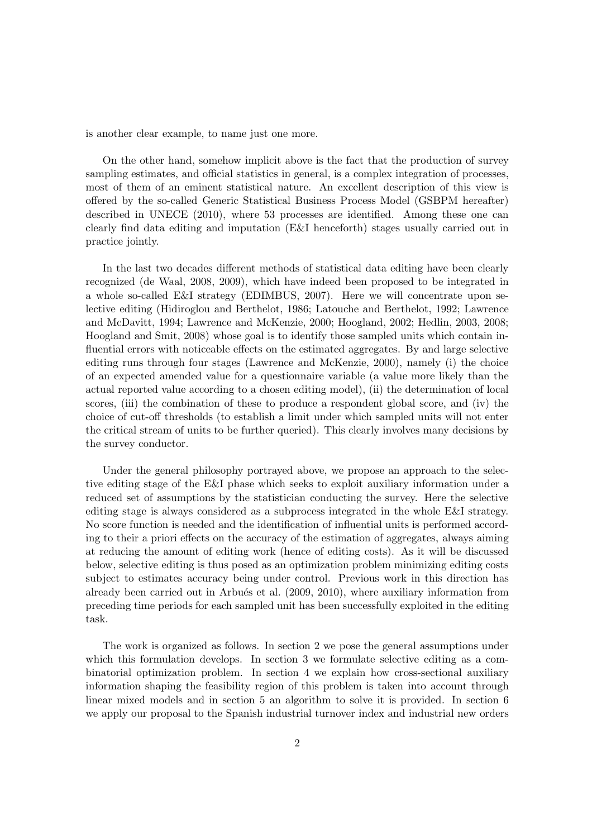is another clear example, to name just one more.

On the other hand, somehow implicit above is the fact that the production of survey sampling estimates, and official statistics in general, is a complex integration of processes, most of them of an eminent statistical nature. An excellent description of this view is offered by the so-called Generic Statistical Business Process Model (GSBPM hereafter) described in UNECE (2010), where 53 processes are identified. Among these one can clearly find data editing and imputation (E&I henceforth) stages usually carried out in practice jointly.

In the last two decades different methods of statistical data editing have been clearly recognized (de Waal, 2008, 2009), which have indeed been proposed to be integrated in a whole so-called E&I strategy (EDIMBUS, 2007). Here we will concentrate upon selective editing (Hidiroglou and Berthelot, 1986; Latouche and Berthelot, 1992; Lawrence and McDavitt, 1994; Lawrence and McKenzie, 2000; Hoogland, 2002; Hedlin, 2003, 2008; Hoogland and Smit, 2008) whose goal is to identify those sampled units which contain influential errors with noticeable effects on the estimated aggregates. By and large selective editing runs through four stages (Lawrence and McKenzie, 2000), namely (i) the choice of an expected amended value for a questionnaire variable (a value more likely than the actual reported value according to a chosen editing model), (ii) the determination of local scores, (iii) the combination of these to produce a respondent global score, and (iv) the choice of cut-off thresholds (to establish a limit under which sampled units will not enter the critical stream of units to be further queried). This clearly involves many decisions by the survey conductor.

Under the general philosophy portrayed above, we propose an approach to the selective editing stage of the E&I phase which seeks to exploit auxiliary information under a reduced set of assumptions by the statistician conducting the survey. Here the selective editing stage is always considered as a subprocess integrated in the whole E&I strategy. No score function is needed and the identification of influential units is performed according to their a priori effects on the accuracy of the estimation of aggregates, always aiming at reducing the amount of editing work (hence of editing costs). As it will be discussed below, selective editing is thus posed as an optimization problem minimizing editing costs subject to estimates accuracy being under control. Previous work in this direction has already been carried out in Arbués et al. (2009, 2010), where auxiliary information from preceding time periods for each sampled unit has been successfully exploited in the editing task.

The work is organized as follows. In section 2 we pose the general assumptions under which this formulation develops. In section 3 we formulate selective editing as a combinatorial optimization problem. In section 4 we explain how cross-sectional auxiliary information shaping the feasibility region of this problem is taken into account through linear mixed models and in section 5 an algorithm to solve it is provided. In section 6 we apply our proposal to the Spanish industrial turnover index and industrial new orders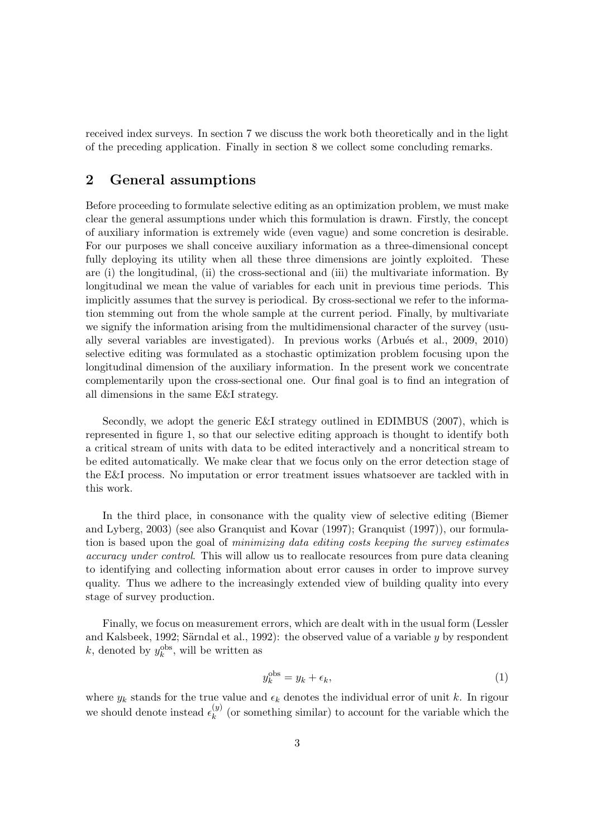received index surveys. In section 7 we discuss the work both theoretically and in the light of the preceding application. Finally in section 8 we collect some concluding remarks.

### 2 General assumptions

Before proceeding to formulate selective editing as an optimization problem, we must make clear the general assumptions under which this formulation is drawn. Firstly, the concept of auxiliary information is extremely wide (even vague) and some concretion is desirable. For our purposes we shall conceive auxiliary information as a three-dimensional concept fully deploying its utility when all these three dimensions are jointly exploited. These are (i) the longitudinal, (ii) the cross-sectional and (iii) the multivariate information. By longitudinal we mean the value of variables for each unit in previous time periods. This implicitly assumes that the survey is periodical. By cross-sectional we refer to the information stemming out from the whole sample at the current period. Finally, by multivariate we signify the information arising from the multidimensional character of the survey (usually several variables are investigated). In previous works (Arbués et al., 2009, 2010) selective editing was formulated as a stochastic optimization problem focusing upon the longitudinal dimension of the auxiliary information. In the present work we concentrate complementarily upon the cross-sectional one. Our final goal is to find an integration of all dimensions in the same E&I strategy.

Secondly, we adopt the generic E&I strategy outlined in EDIMBUS (2007), which is represented in figure 1, so that our selective editing approach is thought to identify both a critical stream of units with data to be edited interactively and a noncritical stream to be edited automatically. We make clear that we focus only on the error detection stage of the E&I process. No imputation or error treatment issues whatsoever are tackled with in this work.

In the third place, in consonance with the quality view of selective editing (Biemer and Lyberg, 2003) (see also Granquist and Kovar (1997); Granquist (1997)), our formulation is based upon the goal of minimizing data editing costs keeping the survey estimates accuracy under control. This will allow us to reallocate resources from pure data cleaning to identifying and collecting information about error causes in order to improve survey quality. Thus we adhere to the increasingly extended view of building quality into every stage of survey production.

Finally, we focus on measurement errors, which are dealt with in the usual form (Lessler and Kalsbeek, 1992; Särndal et al., 1992): the observed value of a variable  $\gamma$  by respondent k, denoted by  $y_k^{\text{obs}}$ , will be written as

$$
y_k^{\text{obs}} = y_k + \epsilon_k,\tag{1}
$$

where  $y_k$  stands for the true value and  $\epsilon_k$  denotes the individual error of unit k. In rigour we should denote instead  $\epsilon_k^{(y)}$  $\binom{y}{k}$  (or something similar) to account for the variable which the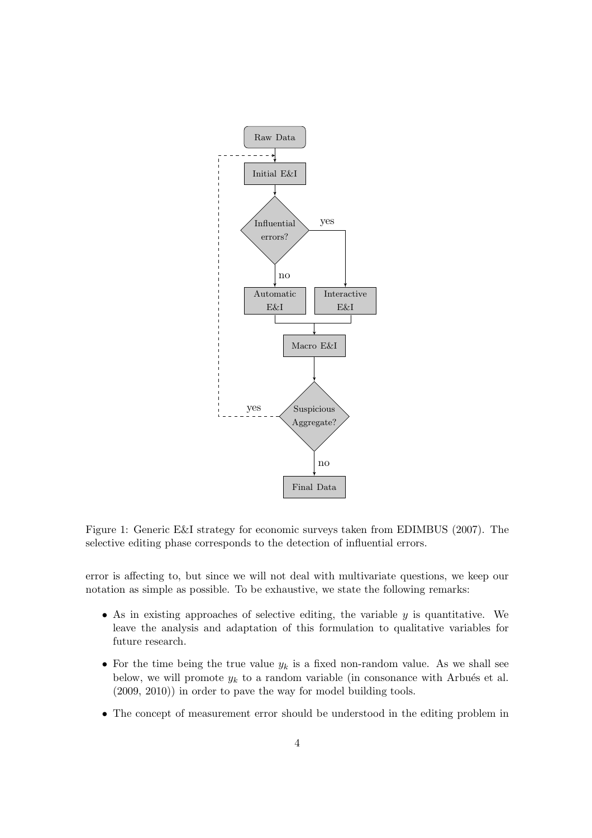

Figure 1: Generic E&I strategy for economic surveys taken from EDIMBUS (2007). The selective editing phase corresponds to the detection of influential errors.

error is affecting to, but since we will not deal with multivariate questions, we keep our notation as simple as possible. To be exhaustive, we state the following remarks:

- As in existing approaches of selective editing, the variable  $y$  is quantitative. We leave the analysis and adaptation of this formulation to qualitative variables for future research.
- For the time being the true value  $y_k$  is a fixed non-random value. As we shall see below, we will promote  $y_k$  to a random variable (in consonance with Arbués et al. (2009, 2010)) in order to pave the way for model building tools.
- The concept of measurement error should be understood in the editing problem in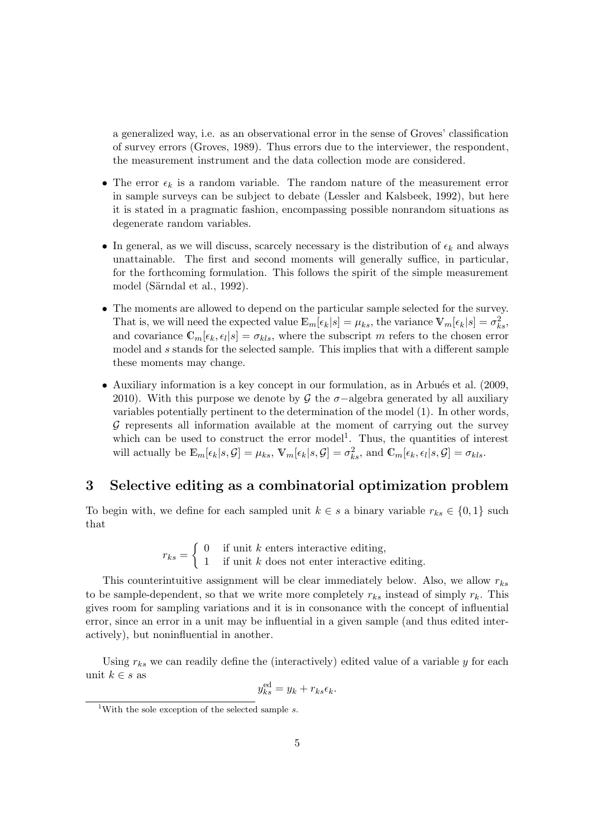a generalized way, i.e. as an observational error in the sense of Groves' classification of survey errors (Groves, 1989). Thus errors due to the interviewer, the respondent, the measurement instrument and the data collection mode are considered.

- The error  $\epsilon_k$  is a random variable. The random nature of the measurement error in sample surveys can be subject to debate (Lessler and Kalsbeek, 1992), but here it is stated in a pragmatic fashion, encompassing possible nonrandom situations as degenerate random variables.
- In general, as we will discuss, scarcely necessary is the distribution of  $\epsilon_k$  and always unattainable. The first and second moments will generally suffice, in particular, for the forthcoming formulation. This follows the spirit of the simple measurement model (Särndal et al., 1992).
- The moments are allowed to depend on the particular sample selected for the survey. That is, we will need the expected value  $\mathbb{E}_m[\epsilon_k|s] = \mu_{ks}$ , the variance  $\mathbb{V}_m[\epsilon_k|s] = \sigma_{ks}^2$ , and covariance  $\mathbb{C}_m[\epsilon_k, \epsilon_k | s] = \sigma_{kls}$ , where the subscript m refers to the chosen error model and s stands for the selected sample. This implies that with a different sample these moments may change.
- $\bullet$  Auxiliary information is a key concept in our formulation, as in Arbués et al. (2009, 2010). With this purpose we denote by G the  $\sigma$ -algebra generated by all auxiliary variables potentially pertinent to the determination of the model (1). In other words,  $\mathcal G$  represents all information available at the moment of carrying out the survey which can be used to construct the error model<sup>1</sup>. Thus, the quantities of interest will actually be  $\mathbb{E}_m[\epsilon_k|s, \mathcal{G}] = \mu_{ks}, \mathbb{V}_m[\epsilon_k|s, \mathcal{G}] = \sigma_{ks}^2$ , and  $\mathbb{C}_m[\epsilon_k, \epsilon_l|s, \mathcal{G}] = \sigma_{kls}$ .

### 3 Selective editing as a combinatorial optimization problem

To begin with, we define for each sampled unit  $k \in s$  a binary variable  $r_{ks} \in \{0,1\}$  such that

$$
r_{ks} = \begin{cases} 0 & \text{if unit } k \text{ enters interactive editing,} \\ 1 & \text{if unit } k \text{ does not enter interactive editing.} \end{cases}
$$

This counterintuitive assignment will be clear immediately below. Also, we allow  $r_{ks}$ to be sample-dependent, so that we write more completely  $r_{ks}$  instead of simply  $r_k$ . This gives room for sampling variations and it is in consonance with the concept of influential error, since an error in a unit may be influential in a given sample (and thus edited interactively), but noninfluential in another.

Using  $r_{ks}$  we can readily define the (interactively) edited value of a variable y for each unit  $k \in s$  as

$$
y_{ks}^{\text{ed}} = y_k + r_{ks} \epsilon_k.
$$

<sup>&</sup>lt;sup>1</sup>With the sole exception of the selected sample s.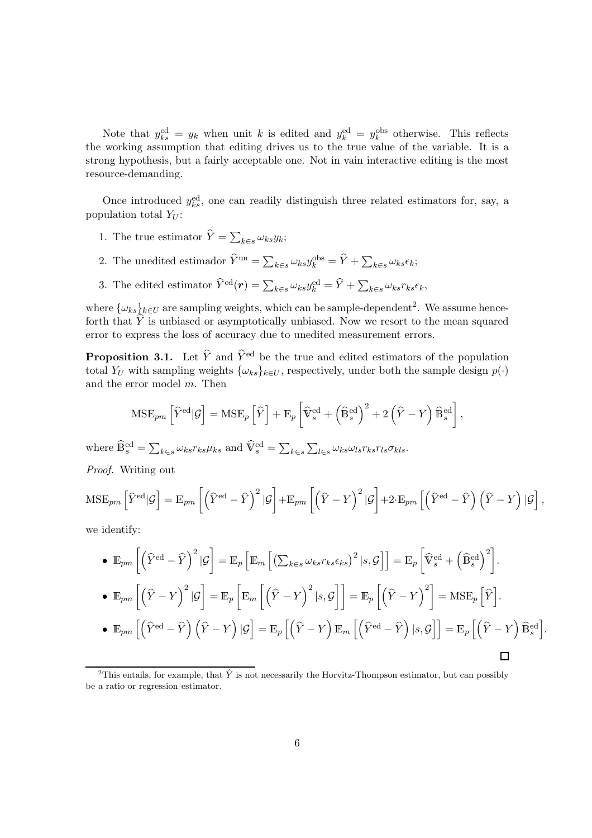Note that  $y_{ks}^{\text{ed}} = y_k$  when unit k is edited and  $y_k^{\text{ed}} = y_k^{\text{obs}}$  otherwise. This reflects the working assumption that editing drives us to the true value of the variable. It is a strong hypothesis, but a fairly acceptable one. Not in vain interactive editing is the most resource-demanding.

Once introduced  $y_{ks}^{\text{ed}}$ , one can readily distinguish three related estimators for, say, a population total  $Y_{U}$ :

- 1. The true estimator  $\hat{Y} = \sum_{k \in s} \omega_{ks} y_k;$
- 2. The unedited estimador  $\hat{Y}^{\text{un}} = \sum_{k \in s} \omega_{ks} y_k^{\text{obs}} = \hat{Y} + \sum_{k \in s} \omega_{ks} \epsilon_k$ ;
- 3. The edited estimator  $\widehat{Y}^{\text{ed}}(r) = \sum_{k \in s} \omega_{ks} y_k^{\text{ed}} = \widehat{Y} + \sum_{k \in s} \omega_{ks} r_{ks} \epsilon_k$ ,

where  $\{\omega_{ks}\}_{k\in U}$  are sampling weights, which can be sample-dependent<sup>2</sup>. We assume henceforth that  $\hat{Y}$  is unbiased or asymptotically unbiased. Now we resort to the mean squared error to express the loss of accuracy due to unedited measurement errors.

**Proposition 3.1.** Let  $\hat{Y}$  and  $\hat{Y}^{ed}$  be the true and edited estimators of the population total Y<sub>U</sub> with sampling weights  $\{\omega_{ks}\}_{k\in U}$ , respectively, under both the sample design  $p(\cdot)$ and the error model m. Then

$$
\text{MSE}_{pm}\left[\widehat{Y}^{\text{ed}}|\mathcal{G}\right] = \text{MSE}_{p}\left[\widehat{Y}\right] + \mathbb{E}_{p}\left[\widehat{V}_{s}^{\text{ed}} + \left(\widehat{\mathbb{B}}_{s}^{\text{ed}}\right)^{2} + 2\left(\widehat{Y} - Y\right)\widehat{\mathbb{B}}_{s}^{\text{ed}}\right],
$$

where  $\widehat{\mathbb{B}}_s^{\text{ed}} = \sum_{k \in s} \omega_{ks} r_{ks} \mu_{ks}$  and  $\widehat{\mathbb{V}}_s^{\text{ed}} = \sum_{k \in s} \sum_{l \in s} \omega_{ks} \omega_{ls} r_{ks} r_{ls} \sigma_{kls}$ .

Proof. Writing out

$$
\text{MSE}_{pm}\left[\widehat{Y}^{\text{ed}}|\mathcal{G}\right] = \mathbb{E}_{pm}\left[\left(\widehat{Y}^{\text{ed}} - \widehat{Y}\right)^2|\mathcal{G}\right] + \mathbb{E}_{pm}\left[\left(\widehat{Y} - Y\right)^2|\mathcal{G}\right] + 2\cdot\mathbb{E}_{pm}\left[\left(\widehat{Y}^{\text{ed}} - \widehat{Y}\right)\left(\widehat{Y} - Y\right)|\mathcal{G}\right],
$$

we identify:

• 
$$
\mathbb{E}_{pm}\left[\left(\hat{Y}^{ed}-\hat{Y}\right)^{2}|\mathcal{G}\right] = \mathbb{E}_{p}\left[\mathbb{E}_{m}\left[\left(\sum_{k\in s}\omega_{ks}r_{ks}\epsilon_{ks}\right)^{2}|s,\mathcal{G}\right]\right] = \mathbb{E}_{p}\left[\hat{V}_{s}^{ed}+\left(\hat{B}_{s}^{ed}\right)^{2}\right].
$$
  
\n•  $\mathbb{E}_{pm}\left[\left(\hat{Y}-Y\right)^{2}|\mathcal{G}\right] = \mathbb{E}_{p}\left[\mathbb{E}_{m}\left[\left(\hat{Y}-Y\right)^{2}|s,\mathcal{G}\right]\right] = \mathbb{E}_{p}\left[\left(\hat{Y}-Y\right)^{2}\right] = \text{MSE}_{p}\left[\hat{Y}\right].$   
\n•  $\mathbb{E}_{pm}\left[\left(\hat{Y}^{ed}-\hat{Y}\right)\left(\hat{Y}-Y\right)|\mathcal{G}\right] = \mathbb{E}_{p}\left[\left(\hat{Y}-Y\right)\mathbb{E}_{m}\left[\left(\hat{Y}^{ed}-\hat{Y}\right)|s,\mathcal{G}\right]\right] = \mathbb{E}_{p}\left[\left(\hat{Y}-Y\right)\hat{B}_{s}^{ed}\right]$ 

.

<sup>&</sup>lt;sup>2</sup>This entails, for example, that  $\hat{Y}$  is not necessarily the Horvitz-Thompson estimator, but can possibly be a ratio or regression estimator.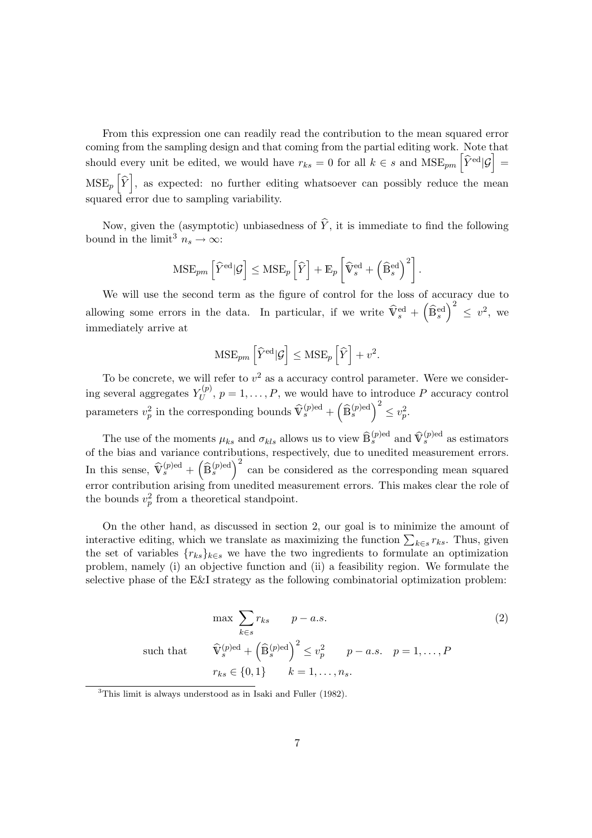From this expression one can readily read the contribution to the mean squared error coming from the sampling design and that coming from the partial editing work. Note that should every unit be edited, we would have  $r_{ks} = 0$  for all  $k \in s$  and  $MSE_{pm} \left[ \hat{Y}^{ed} | \mathcal{G} \right] =$  $MSE_p\left[\hat{Y}\right]$ , as expected: no further editing whatsoever can possibly reduce the mean squared error due to sampling variability.

Now, given the (asymptotic) unbiasedness of  $\hat{Y}$ , it is immediate to find the following bound in the limit<sup>3</sup>  $n_s \rightarrow \infty$ :

$$
\text{MSE}_{pm}\left[\widehat{Y}^{\text{ed}}|\mathcal{G}\right] \leq \text{MSE}_p\left[\widehat{Y}\right] + \mathbb{E}_p\left[\widehat{V}_s^{\text{ed}} + \left(\widehat{\mathbb{B}}_s^{\text{ed}}\right)^2\right].
$$

We will use the second term as the figure of control for the loss of accuracy due to allowing some errors in the data. In particular, if we write  $\widehat{V}_s^{\text{ed}} + \left(\widehat{B}_s^{\text{ed}}\right)^2 \leq v^2$ , we immediately arrive at

$$
\text{MSE}_{pm}\left[\widehat{Y}^{\text{ed}}|\mathcal{G}\right] \leq \text{MSE}_p\left[\widehat{Y}\right] + v^2.
$$

To be concrete, we will refer to  $v^2$  as a accuracy control parameter. Were we considering several aggregates  $Y_U^{(p)}$  $U^{(p)}_U, p = 1, \ldots, P$ , we would have to introduce P accuracy control parameters  $v_p^2$  in the corresponding bounds  $\widehat{V}_s^{(p)ed} + \left(\widehat{B}_s^{(p)ed}\right)^2 \leq v_p^2$ .

The use of the moments  $\mu_{ks}$  and  $\sigma_{kls}$  allows us to view  $\widehat{\mathbb{B}}_s^{(p) \text{ed}}$  and  $\widehat{\mathbb{V}}_s^{(p) \text{ed}}$  as estimators of the bias and variance contributions, respectively, due to unedited measurement errors. In this sense,  $\widehat{\mathbb{V}}_s^{(p)ed} + \left(\widehat{\mathbb{B}}_s^{(p)ed}\right)^2$  can be considered as the corresponding mean squared error contribution arising from unedited measurement errors. This makes clear the role of the bounds  $v_p^2$  from a theoretical standpoint.

On the other hand, as discussed in section 2, our goal is to minimize the amount of interactive editing, which we translate as maximizing the function  $\sum_{k\in s} r_{ks}$ . Thus, given the set of variables  $\{r_{ks}\}_{k\in\mathcal{S}}$  we have the two ingredients to formulate an optimization problem, namely (i) an objective function and (ii) a feasibility region. We formulate the selective phase of the E&I strategy as the following combinatorial optimization problem:

$$
\max \sum_{k \in s} r_{ks} \qquad p - a.s. \tag{2}
$$
\n
$$
\text{such that} \qquad \widehat{\mathbf{V}}_s^{(p) \text{ed}} + \left(\widehat{\mathbf{B}}_s^{(p) \text{ed}}\right)^2 \le v_p^2 \qquad p - a.s. \quad p = 1, \dots, P
$$
\n
$$
r_{ks} \in \{0, 1\} \qquad k = 1, \dots, n_s.
$$

<sup>3</sup>This limit is always understood as in Isaki and Fuller (1982).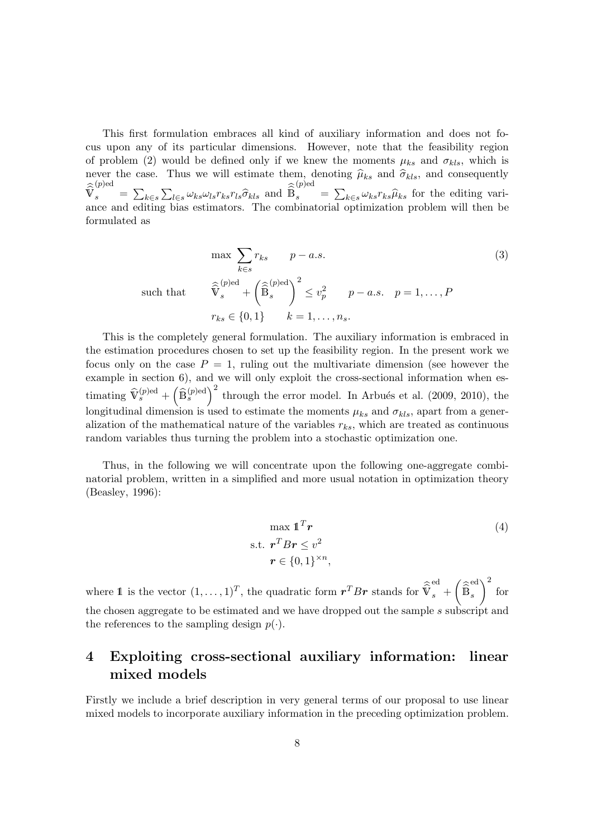This first formulation embraces all kind of auxiliary information and does not focus upon any of its particular dimensions. However, note that the feasibility region of problem (2) would be defined only if we knew the moments  $\mu_{ks}$  and  $\sigma_{kls}$ , which is never the case. Thus we will estimate them, denoting  $\hat{\mu}_{ks}$  and  $\hat{\sigma}_{kls}$ , and consequently  $\hat{\hat{\mathbb{V}}}_{s}^{(p) \text{ed}} = \sum_{k \in s} \sum_{l \in s} \omega_{ks} \omega_{ls} r_{ks} r_{ls} \hat{\sigma}_{kls}$  and  $\hat{\hat{\mathbb{B}}}_{s}^{(p) \text{ed}} = \sum_{k \in s} \omega_{ks} r_{ks} \hat{\mu}_{ks}$  for  $\mathbb{V}$  $(p)$ ed  $\sum_{s} = \sum_{k \in s} \sum_{l \in s} \omega_{ks} \omega_{ls} r_{ks} r_{ls} \hat{\sigma}_{kls}$  and  $\widehat{\mathbb{B}}$  $(p)$ ed  $\widehat{\mathbb{V}}_s^{\sigma'} = \sum_{k \in s} \sum_{l \in s} \omega_{ks} \omega_{ls} r_{ks} r_{ls} \widehat{\sigma}_{kls}$  and  $\widehat{\mathbb{B}}_s^{\sigma'} = \sum_{k \in s} \omega_{ks} r_{ks} \widehat{\mu}_{ks}$  for the editing variance and editing bias estimators. The combinatorial optimization problem will then be formulated as

$$
\max \sum_{k \in s} r_{ks} \qquad p - a.s. \tag{3}
$$
\n
$$
\text{that} \qquad \widehat{\mathbf{V}}_s^{(p) \text{ed}} + \left(\widehat{\mathbf{B}}_s^{(p) \text{ed}}\right)^2 \le v_p^2 \qquad p - a.s. \quad p = 1, \dots, P
$$
\n
$$
r_{ks} \in \{0, 1\} \qquad k = 1, \dots, n_s.
$$

This is the completely general formulation. The auxiliary information is embraced in the estimation procedures chosen to set up the feasibility region. In the present work we focus only on the case  $P = 1$ , ruling out the multivariate dimension (see however the example in section 6), and we will only exploit the cross-sectional information when estimating  $\widehat{\mathbb{V}}_s^{(p)ed} + \left(\widehat{\mathbb{B}}_s^{(p)ed}\right)^2$  through the error model. In Arbués et al. (2009, 2010), the longitudinal dimension is used to estimate the moments  $\mu_{ks}$  and  $\sigma_{kls}$ , apart from a generalization of the mathematical nature of the variables  $r_{ks}$ , which are treated as continuous

random variables thus turning the problem into a stochastic optimization one.

such

Thus, in the following we will concentrate upon the following one-aggregate combinatorial problem, written in a simplified and more usual notation in optimization theory (Beasley, 1996):

$$
\max \mathbf{1}^T \mathbf{r}
$$
  
s.t. 
$$
\mathbf{r}^T B \mathbf{r} \le v^2
$$

$$
\mathbf{r} \in \{0, 1\}^{\times n},
$$
 (4)

where 1 is the vector  $(1,\ldots,1)^T$ , the quadratic form  $\mathbf{r}^T B \mathbf{r}$  stands for  $\widehat{\widehat{\mathbb{V}}}_s^{\text{ed}}$  $_s$  +  $\sqrt{2}$  $\mathbb{B}$ ed s  $\setminus^2$ for the chosen aggregate to be estimated and we have dropped out the sample s subscript and the references to the sampling design  $p(\cdot)$ .

## 4 Exploiting cross-sectional auxiliary information: linear mixed models

Firstly we include a brief description in very general terms of our proposal to use linear mixed models to incorporate auxiliary information in the preceding optimization problem.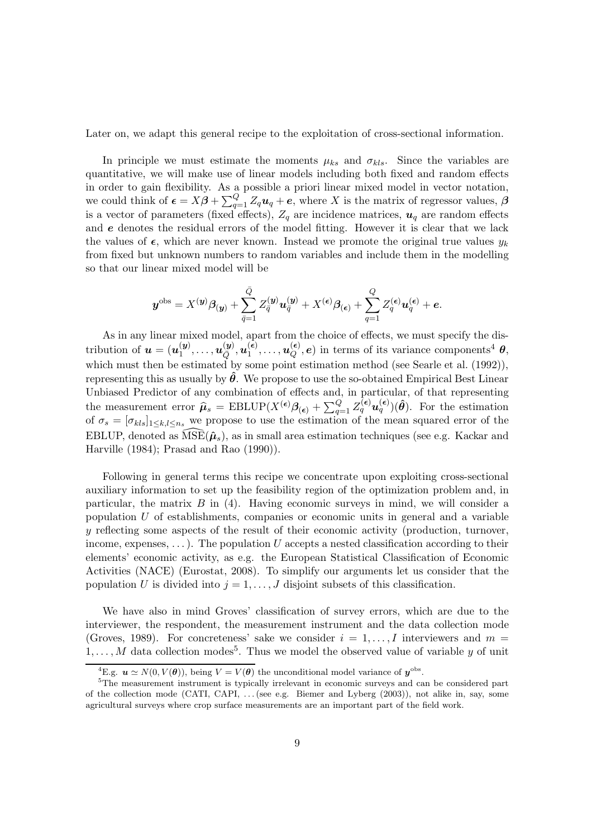Later on, we adapt this general recipe to the exploitation of cross-sectional information.

In principle we must estimate the moments  $\mu_{ks}$  and  $\sigma_{kls}$ . Since the variables are quantitative, we will make use of linear models including both fixed and random effects in order to gain flexibility. As a possible a priori linear mixed model in vector notation, we could think of  $\epsilon = X\beta + \sum_{q=1}^{Q} Z_q u_q + e$ , where X is the matrix of regressor values,  $\beta$ is a vector of parameters (fixed effects),  $Z_q$  are incidence matrices,  $u_q$  are random effects and e denotes the residual errors of the model fitting. However it is clear that we lack the values of  $\epsilon$ , which are never known. Instead we promote the original true values  $y_k$ from fixed but unknown numbers to random variables and include them in the modelling so that our linear mixed model will be

$$
\boldsymbol{y}^{\text{obs}} = X^{(\boldsymbol{y})} \boldsymbol{\beta}_{(\boldsymbol{y})} + \sum_{\bar{q}=1}^{\bar{Q}} Z^{(\boldsymbol{y})}_{\bar{q}} \boldsymbol{u}_{\bar{q}}^{(\boldsymbol{y})} + X^{(\boldsymbol{\epsilon})} \boldsymbol{\beta}_{(\boldsymbol{\epsilon})} + \sum_{q=1}^Q Z^{(\boldsymbol{\epsilon})}_q \boldsymbol{u}_{q}^{(\boldsymbol{\epsilon})} + \boldsymbol{e}.
$$

As in any linear mixed model, apart from the choice of effects, we must specify the distribution of  $\boldsymbol{u} = (\boldsymbol{u}_1^{(\boldsymbol{y})})$  $\mathbf{u}^{(\boldsymbol{y})}_1,\dots,\mathbf{u}^{(\boldsymbol{y})}_{\bar{Q}}$  $(\bar{y}^0_{\bar{Q}},\bm{u}^{(\bm{\epsilon})}_1$  $\bm{u}_1^{(\bm{\epsilon})},\ldots,\bm{u}_Q^{(\bm{\epsilon})}$  $Q_{Q}^{(\epsilon)}$ , e) in terms of its variance components<sup>4</sup>  $\theta$ , which must then be estimated by some point estimation method (see Searle et al. (1992)), representing this as usually by  $\hat{\theta}$ . We propose to use the so-obtained Empirical Best Linear Unbiased Predictor of any combination of effects and, in particular, of that representing the measurement error  $\hat{\mu}_s = \text{EBLUP}(X^{(\epsilon)}\beta_{(\epsilon)} + \sum_{q=1}^Q Z^{(\epsilon)}_q u^{(\epsilon)}_q)(\hat{\theta})$ . For the estimation of  $\sigma_s = [\sigma_{kls}]_{1 \leq k,l \leq n_s}$  we propose to use the estimation of the mean squared error of the EBLUP, denoted as  $\widehat{\text{MSE}}(\hat{\mu}_s)$ , as in small area estimation techniques (see e.g. Kackar and Harville (1984); Prasad and Rao (1990)).

Following in general terms this recipe we concentrate upon exploiting cross-sectional auxiliary information to set up the feasibility region of the optimization problem and, in particular, the matrix  $B$  in (4). Having economic surveys in mind, we will consider a population  $U$  of establishments, companies or economic units in general and a variable y reflecting some aspects of the result of their economic activity (production, turnover, income, expenses,  $\dots$ ). The population U accepts a nested classification according to their elements' economic activity, as e.g. the European Statistical Classification of Economic Activities (NACE) (Eurostat, 2008). To simplify our arguments let us consider that the population U is divided into  $j = 1, \ldots, J$  disjoint subsets of this classification.

We have also in mind Groves' classification of survey errors, which are due to the interviewer, the respondent, the measurement instrument and the data collection mode (Groves, 1989). For concreteness' sake we consider  $i = 1, \ldots, I$  interviewers and  $m =$  $1, \ldots, M$  data collection modes<sup>5</sup>. Thus we model the observed value of variable y of unit

<sup>&</sup>lt;sup>4</sup>E.g.  $u \simeq N(0, V(\theta))$ , being  $V = V(\theta)$  the unconditional model variance of  $y^{\text{obs}}$ .

<sup>5</sup>The measurement instrument is typically irrelevant in economic surveys and can be considered part of the collection mode (CATI, CAPI, . . . (see e.g. Biemer and Lyberg (2003)), not alike in, say, some agricultural surveys where crop surface measurements are an important part of the field work.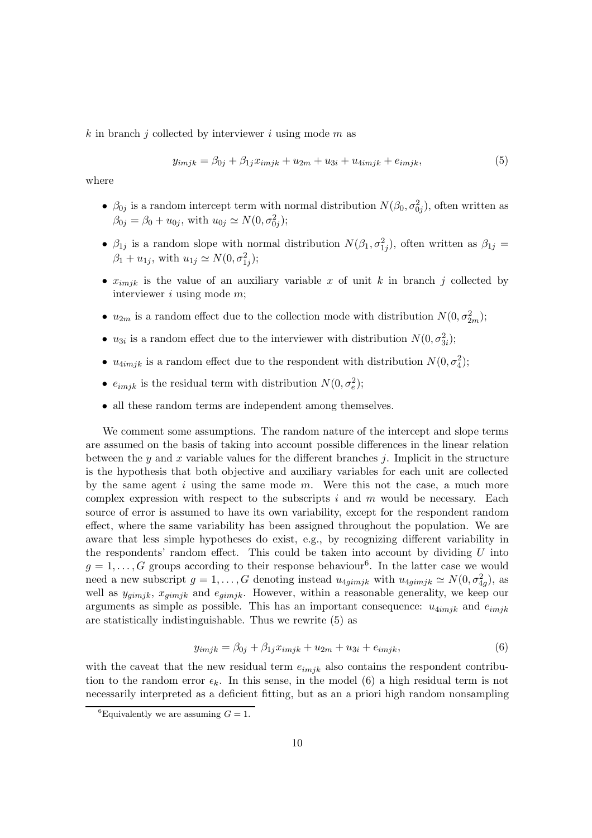k in branch j collected by interviewer i using mode m as

$$
y_{imjk} = \beta_{0j} + \beta_{1j} x_{imjk} + u_{2m} + u_{3i} + u_{4imjk} + e_{imjk},
$$
\n(5)

where

- $\beta_{0j}$  is a random intercept term with normal distribution  $N(\beta_0, \sigma_{0j}^2)$ , often written as  $\beta_{0j} = \beta_0 + u_{0j}$ , with  $u_{0j} \simeq N(0, \sigma_{0j}^2);$
- $\beta_{1j}$  is a random slope with normal distribution  $N(\beta_1, \sigma_{1j}^2)$ , often written as  $\beta_{1j} =$  $\beta_1 + u_{1j}$ , with  $u_{1j} \simeq N(0, \sigma_{1j}^2);$
- $x_{imjk}$  is the value of an auxiliary variable x of unit k in branch j collected by interviewer  $i$  using mode  $m$ ;
- $u_{2m}$  is a random effect due to the collection mode with distribution  $N(0, \sigma_{2m}^2)$ ;
- $u_{3i}$  is a random effect due to the interviewer with distribution  $N(0, \sigma_{3i}^2)$ ;
- $u_{4imjk}$  is a random effect due to the respondent with distribution  $N(0, \sigma_4^2)$ ;
- $e_{imjk}$  is the residual term with distribution  $N(0, \sigma_e^2)$ ;
- all these random terms are independent among themselves.

We comment some assumptions. The random nature of the intercept and slope terms are assumed on the basis of taking into account possible differences in the linear relation between the y and x variable values for the different branches  $j$ . Implicit in the structure is the hypothesis that both objective and auxiliary variables for each unit are collected by the same agent i using the same mode  $m$ . Were this not the case, a much more complex expression with respect to the subscripts  $i$  and  $m$  would be necessary. Each source of error is assumed to have its own variability, except for the respondent random effect, where the same variability has been assigned throughout the population. We are aware that less simple hypotheses do exist, e.g., by recognizing different variability in the respondents' random effect. This could be taken into account by dividing  $U$  into  $g = 1, \ldots, G$  groups according to their response behaviour<sup>6</sup>. In the latter case we would need a new subscript  $g = 1, ..., G$  denoting instead  $u_{4gimjk}$  with  $u_{4gimjk} \simeq N(0, \sigma_{4g}^2)$ , as well as  $y_{gimjk}$ ,  $x_{gimjk}$  and  $e_{gimjk}$ . However, within a reasonable generality, we keep our arguments as simple as possible. This has an important consequence:  $u_{4imjk}$  and  $e_{imjk}$ are statistically indistinguishable. Thus we rewrite (5) as

$$
y_{imjk} = \beta_{0j} + \beta_{1j} x_{imjk} + u_{2m} + u_{3i} + e_{imjk},
$$
\n(6)

with the caveat that the new residual term  $e_{imjk}$  also contains the respondent contribution to the random error  $\epsilon_k$ . In this sense, in the model (6) a high residual term is not necessarily interpreted as a deficient fitting, but as an a priori high random nonsampling

<sup>&</sup>lt;sup>6</sup>Equivalently we are assuming  $G = 1$ .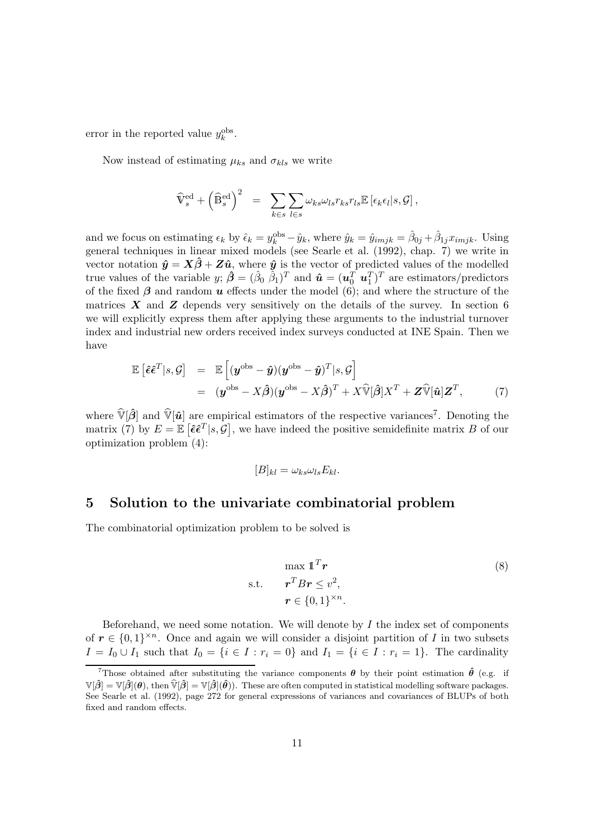error in the reported value  $y_k^{\text{obs}}$ .

Now instead of estimating  $\mu_{ks}$  and  $\sigma_{kls}$  we write

$$
\widehat{V}_s^{\text{ed}} + \left(\widehat{B}_s^{\text{ed}}\right)^2 = \sum_{k \in s} \sum_{l \in s} \omega_{ks} \omega_{ls} r_{ks} r_{ls} \mathbb{E}\left[\epsilon_k \epsilon_l | s, \mathcal{G}\right],
$$

and we focus on estimating  $\epsilon_k$  by  $\hat{\epsilon}_k = y_k^{\text{obs}} - \hat{y}_k$ , where  $\hat{y}_k = \hat{y}_{imjk} = \hat{\beta}_{0j} + \hat{\beta}_{1j} x_{imjk}$ . Using general techniques in linear mixed models (see Searle et al. (1992), chap. 7) we write in vector notation  $\hat{y} = X\hat{\beta} + Z\hat{u}$ , where  $\hat{y}$  is the vector of predicted values of the modelled true values of the variable  $y; \hat{\beta} = (\hat{\beta}_0 \hat{\beta}_1)^T$  and  $\hat{\boldsymbol{u}} = (\boldsymbol{u}_0^T \boldsymbol{u}_1^T)^T$  are estimators/predictors of the fixed  $\beta$  and random  $\boldsymbol{u}$  effects under the model (6); and where the structure of the matrices  $X$  and  $Z$  depends very sensitively on the details of the survey. In section 6 we will explicitly express them after applying these arguments to the industrial turnover index and industrial new orders received index surveys conducted at INE Spain. Then we have

$$
\mathbb{E}\left[\hat{\epsilon}\hat{\epsilon}^T|s,\mathcal{G}\right] = \mathbb{E}\left[(\mathbf{y}^{\text{obs}} - \hat{\mathbf{y}})(\mathbf{y}^{\text{obs}} - \hat{\mathbf{y}})^T|s,\mathcal{G}\right]
$$
  
=  $(\mathbf{y}^{\text{obs}} - X\hat{\boldsymbol{\beta}})(\mathbf{y}^{\text{obs}} - X\hat{\boldsymbol{\beta}})^T + X\hat{\mathbb{V}}[\hat{\boldsymbol{\beta}}]X^T + \mathbf{Z}\hat{\mathbb{V}}[\hat{\mathbf{u}}]\mathbf{Z}^T,$  (7)

where  $\hat{\mathbb{V}}[\hat{\beta}]$  and  $\hat{\mathbb{V}}[\hat{\mathbf{u}}]$  are empirical estimators of the respective variances<sup>7</sup>. Denoting the matrix (7) by  $E = \mathbb{E} \left[ \hat{\epsilon} \hat{\epsilon}^T | s, \mathcal{G} \right]$ , we have indeed the positive semidefinite matrix B of our optimization problem (4):

$$
[B]_{kl} = \omega_{ks}\omega_{ls}E_{kl}.
$$

### 5 Solution to the univariate combinatorial problem

The combinatorial optimization problem to be solved is

$$
\max \mathbf{1}^T \mathbf{r}
$$
\n
$$
\mathbf{r}^T B \mathbf{r} \le v^2,
$$
\n
$$
\mathbf{r} \in \{0, 1\}^{\times n}.
$$
\n(8)

Beforehand, we need some notation. We will denote by  $I$  the index set of components of  $r \in \{0,1\}^{\times n}$ . Once and again we will consider a disjoint partition of I in two subsets  $I = I_0 \cup I_1$  such that  $I_0 = \{i \in I : r_i = 0\}$  and  $I_1 = \{i \in I : r_i = 1\}$ . The cardinality

<sup>&</sup>lt;sup>7</sup>Those obtained after substituting the variance components  $\theta$  by their point estimation  $\hat{\theta}$  (e.g. if  $\mathbb{V}[\hat{\beta}] = \mathbb{V}[\hat{\beta}](\theta)$ , then  $\hat{\mathbb{V}}[\hat{\beta}] = \mathbb{V}[\hat{\beta}](\hat{\theta})$ . These are often computed in statistical modelling software packages. See Searle et al. (1992), page 272 for general expressions of variances and covariances of BLUPs of both fixed and random effects.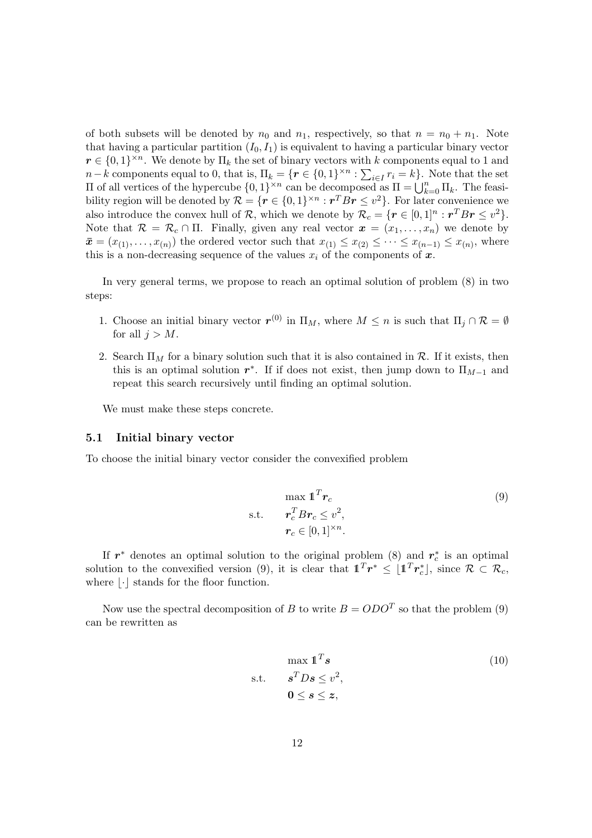of both subsets will be denoted by  $n_0$  and  $n_1$ , respectively, so that  $n = n_0 + n_1$ . Note that having a particular partition  $(I_0, I_1)$  is equivalent to having a particular binary vector  $r \in \{0,1\}^{\times n}$ . We denote by  $\Pi_k$  the set of binary vectors with k components equal to 1 and  $n-k$  components equal to 0, that is,  $\Pi_k = \{r \in \{0,1\}^{\times n} : \sum_{i \in I} r_i = k\}$ . Note that the set II of all vertices of the hypercube  $\{0,1\}^{\times n}$  can be decomposed as  $\Pi = \bigcup_{k=0}^{n} \Pi_k$ . The feasibility region will be denoted by  $\mathcal{R} = \{r \in \{0,1\}^{\times n} : r^T B r \leq v^2\}$ . For later convenience we also introduce the convex hull of R, which we denote by  $\mathcal{R}_c = \{ \mathbf{r} \in [0,1]^n : \mathbf{r}^T B \mathbf{r} \leq v^2 \}.$ Note that  $\mathcal{R} = \mathcal{R}_c \cap \Pi$ . Finally, given any real vector  $\mathbf{x} = (x_1, \ldots, x_n)$  we denote by  $\bar{\boldsymbol{x}} = (x_{(1)}, \ldots, x_{(n)})$  the ordered vector such that  $x_{(1)} \leq x_{(2)} \leq \cdots \leq x_{(n-1)} \leq x_{(n)}$ , where this is a non-decreasing sequence of the values  $x_i$  of the components of  $x$ .

In very general terms, we propose to reach an optimal solution of problem (8) in two steps:

- 1. Choose an initial binary vector  $r^{(0)}$  in  $\Pi_M$ , where  $M \leq n$  is such that  $\Pi_j \cap \mathcal{R} = \emptyset$ for all  $j > M$ .
- 2. Search  $\Pi_M$  for a binary solution such that it is also contained in  $\mathcal R$ . If it exists, then this is an optimal solution  $r^*$ . If if does not exist, then jump down to  $\Pi_{M-1}$  and repeat this search recursively until finding an optimal solution.

We must make these steps concrete.

#### 5.1 Initial binary vector

To choose the initial binary vector consider the convexified problem

$$
\max \mathbf{1}^T r_c
$$
  
s.t. 
$$
\mathbf{r}_c^T B \mathbf{r}_c \leq v^2,
$$

$$
\mathbf{r}_c \in [0, 1]^{\times n}.
$$

$$
(9)
$$

If  $r^*$  denotes an optimal solution to the original problem (8) and  $r_c^*$  is an optimal solution to the convexified version (9), it is clear that  $\mathbb{1}^T r^* \leq \lfloor \mathbb{1}^T r_c^* \rfloor$ , since  $\mathcal{R} \subset \mathcal{R}_c$ , where  $|\cdot|$  stands for the floor function.

Now use the spectral decomposition of B to write  $B = ODO^{T}$  so that the problem (9) can be rewritten as

$$
\begin{array}{ll}\n\max \mathbb{1}^T s \\
\text{s.t.} & s^T D s \le v^2, \\
& 0 \le s \le z,\n\end{array} \tag{10}
$$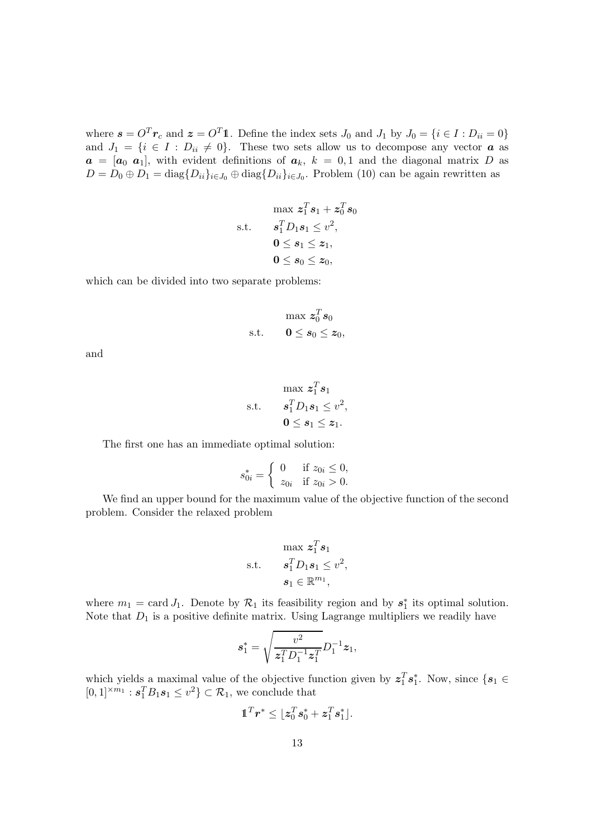where  $s = O<sup>T</sup>r_c$  and  $z = O<sup>T</sup>1$ . Define the index sets  $J_0$  and  $J_1$  by  $J_0 = \{i \in I : D_{ii} = 0\}$ and  $J_1 = \{i \in I : D_{ii} \neq 0\}$ . These two sets allow us to decompose any vector  $\boldsymbol{a}$  as  $a = [a_0 \ a_1]$ , with evident definitions of  $a_k$ ,  $k = 0, 1$  and the diagonal matrix D as  $D = D_0 \oplus D_1 = \text{diag}\{D_{ii}\}_{i \in J_0} \oplus \text{diag}\{D_{ii}\}_{i \in J_0}$ . Problem (10) can be again rewritten as

> $\max \, \boldsymbol{z}_1^T \boldsymbol{s}_1 + \boldsymbol{z}_0^T \boldsymbol{s}_0$ s.t.  $s_1^T D_1 s_1 \leq v^2$ ,  $0 \le s_1 \le z_1,$  $0 \le s_0 \le z_0,$

which can be divided into two separate problems:

$$
\max \, \boldsymbol{z}_0^T \boldsymbol{s}_0
$$
\ns.t. 
$$
\mathbf{0} \leq \boldsymbol{s}_0 \leq \boldsymbol{z}_0,
$$

and

$$
\begin{aligned}\n\max \ z_1^T s_1 \\
\text{s.t.} \quad s_1^T D_1 s_1 \le v^2, \\
0 \le s_1 \le z_1.\n\end{aligned}
$$

The first one has an immediate optimal solution:

$$
s_{0i}^* = \begin{cases} 0 & \text{if } z_{0i} \le 0, \\ z_{0i} & \text{if } z_{0i} > 0. \end{cases}
$$

We find an upper bound for the maximum value of the objective function of the second problem. Consider the relaxed problem

$$
\begin{aligned}\n\max \ z_1^T s_1 \\
\text{s.t.} \quad s_1^T D_1 s_1 \le v^2, \\
s_1 \in \mathbb{R}^{m_1},\n\end{aligned}
$$

where  $m_1 = \text{card } J_1$ . Denote by  $\mathcal{R}_1$  its feasibility region and by  $s_1^*$  its optimal solution. Note that  $D_1$  is a positive definite matrix. Using Lagrange multipliers we readily have

$$
\pmb{s}_1^* = \sqrt{\frac{v^2}{\pmb{z}_1^T D_1^{-1} \pmb{z}_1^T}} D_1^{-1} \pmb{z}_1,
$$

which yields a maximal value of the objective function given by  $z_1^T s_1^*$ . Now, since  $\{s_1 \in$  $[0,1]^{\times m_1}$ :  $\mathbf{s}_1^T B_1 \mathbf{s}_1 \leq v^2$   $\subset \mathcal{R}_1$ , we conclude that

$$
\mathbf{1}^T\boldsymbol{r}^*\leq \lfloor \boldsymbol{z}_0^T\boldsymbol{s}_0^* + \boldsymbol{z}_1^T\boldsymbol{s}_1^*\rfloor.
$$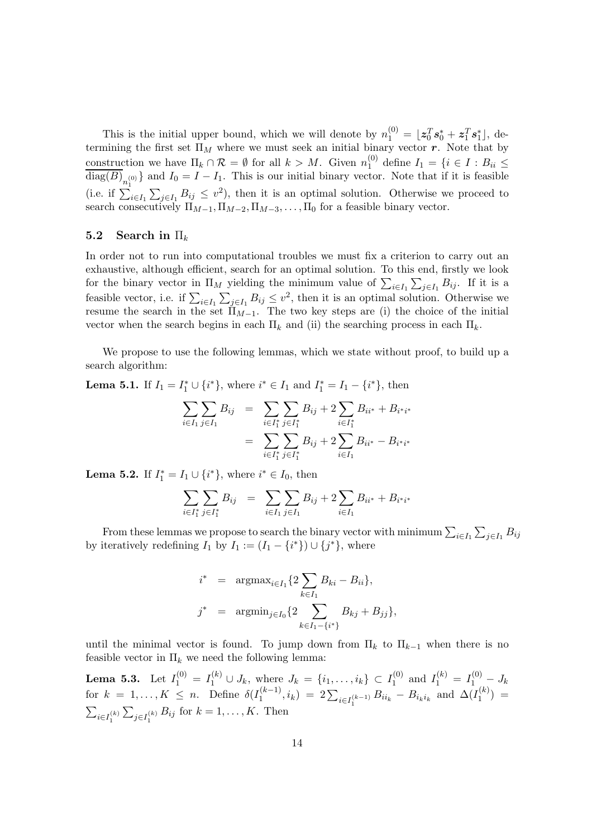This is the initial upper bound, which we will denote by  $n_1^{(0)} = \lfloor z_0^T s_0^* + z_1^T s_1^* \rfloor$ , determining the first set  $\Pi_M$  where we must seek an initial binary vector r. Note that by construction we have  $\Pi_k \cap \mathcal{R} = \emptyset$  for all  $k > M$ . Given  $n_1^{(0)}$  $I_1^{(0)}$  define  $I_1 = \{i \in I : B_{ii} \leq$  $\text{diag}(B)_{n_1^{(0)}}\}$  and  $I_0 = I - I_1$ . This is our initial binary vector. Note that if it is feasible (i.e. if  $\sum_{i\in I_1}\sum_{j\in I_1}B_{ij}\leq v^2$ ), then it is an optimal solution. Otherwise we proceed to search consecutively  $\Pi_{M-1}, \Pi_{M-2}, \Pi_{M-3}, \ldots, \Pi_0$  for a feasible binary vector.

#### 5.2 Search in  $\Pi_k$

In order not to run into computational troubles we must fix a criterion to carry out an exhaustive, although efficient, search for an optimal solution. To this end, firstly we look for the binary vector in  $\Pi_M$  yielding the minimum value of  $\sum_{i\in I_1}\sum_{j\in I_1}B_{ij}$ . If it is a feasible vector, i.e. if  $\sum_{i\in I_1}\sum_{j\in I_1}B_{ij}\leq v^2$ , then it is an optimal solution. Otherwise we resume the search in the set  $\Pi_{M-1}$ . The two key steps are (i) the choice of the initial vector when the search begins in each  $\Pi_k$  and (ii) the searching process in each  $\Pi_k$ .

We propose to use the following lemmas, which we state without proof, to build up a search algorithm:

**Lema 5.1.** If  $I_1 = I_1^* \cup \{i^*\}$ , where  $i^* \in I_1$  and  $I_1^* = I_1 - \{i^*\}$ , then

$$
\sum_{i \in I_1} \sum_{j \in I_1} B_{ij} = \sum_{i \in I_1^*} \sum_{j \in I_1^*} B_{ij} + 2 \sum_{i \in I_1^*} B_{ii^*} + B_{i^*i^*}
$$

$$
= \sum_{i \in I_1^*} \sum_{j \in I_1^*} B_{ij} + 2 \sum_{i \in I_1} B_{ii^*} - B_{i^*i^*}
$$

**Lema 5.2.** If  $I_1^* = I_1 \cup \{i^*\}$ , where  $i^* \in I_0$ , then

$$
\sum_{i \in I_1^*} \sum_{j \in I_1^*} B_{ij} = \sum_{i \in I_1} \sum_{j \in I_1} B_{ij} + 2 \sum_{i \in I_1} B_{ii^*} + B_{i^*i^*}
$$

From these lemmas we propose to search the binary vector with minimum  $\sum_{i\in I_1}\sum_{j\in I_1}B_{ij}$ by iteratively redefining  $I_1$  by  $I_1 := (I_1 - \{i^*\}) \cup \{j^*\}$ , where

$$
i^* = \operatorname{argmax}_{i \in I_1} \{ 2 \sum_{k \in I_1} B_{ki} - B_{ii} \},
$$
  

$$
j^* = \operatorname{argmin}_{j \in I_0} \{ 2 \sum_{k \in I_1 - \{i^*\}} B_{kj} + B_{jj} \},
$$

until the minimal vector is found. To jump down from  $\Pi_k$  to  $\Pi_{k-1}$  when there is no feasible vector in  $\Pi_k$  we need the following lemma:

**Lema 5.3.** Let  $I_1^{(0)} = I_1^{(k)} \cup J_k$ , where  $J_k = \{i_1, \ldots, i_k\} \subset I_1^{(0)}$  $I_1^{(0)}$  and  $I_1^{(k)} = I_1^{(0)} - J_k$ for  $k = 1, ..., K \leq n$ . Define  $\delta(I_1^{(k-1)})$  $\mathcal{L}_1^{(k-1)}, i_k$ ) =  $2\sum_{i \in I_1^{(k-1)}} B_{ii_k} - B_{i_k i_k}$  and  $\Delta(I_1^{(k)})$  $\binom{\kappa}{1}$  =  $\sum_{i\in I_1^{(k)}}$  $\sum_{j\in I_1^{(k)}} B_{ij}$  for  $k=1,\ldots,K$ . Then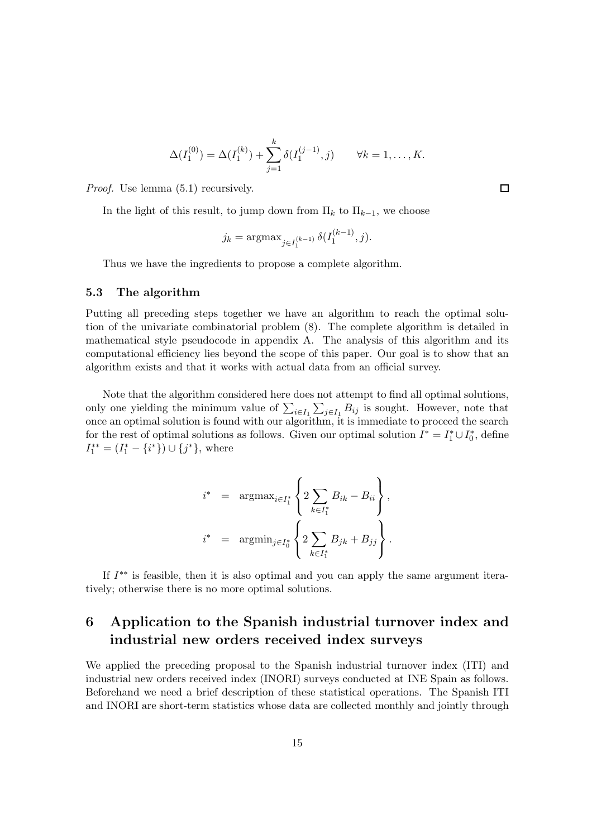$$
\Delta(I_1^{(0)}) = \Delta(I_1^{(k)}) + \sum_{j=1}^k \delta(I_1^{(j-1)}, j) \qquad \forall k = 1, \dots, K.
$$

*Proof.* Use lemma  $(5.1)$  recursively.

In the light of this result, to jump down from  $\Pi_k$  to  $\Pi_{k-1}$ , we choose

$$
j_k = \operatorname{argmax}_{j \in I_1^{(k-1)}} \delta(I_1^{(k-1)}, j).
$$

Thus we have the ingredients to propose a complete algorithm.

#### 5.3 The algorithm

Putting all preceding steps together we have an algorithm to reach the optimal solution of the univariate combinatorial problem (8). The complete algorithm is detailed in mathematical style pseudocode in appendix A. The analysis of this algorithm and its computational efficiency lies beyond the scope of this paper. Our goal is to show that an algorithm exists and that it works with actual data from an official survey.

Note that the algorithm considered here does not attempt to find all optimal solutions, only one yielding the minimum value of  $\sum_{i\in I_1}\sum_{j\in I_1}B_{ij}$  is sought. However, note that once an optimal solution is found with our algorithm, it is immediate to proceed the search for the rest of optimal solutions as follows. Given our optimal solution  $I^* = I_1^* \cup I_0^*$ , define  $I_1^{**} = (I_1^* - \{i^*\}) \cup \{j^*\},\$  where

$$
\begin{array}{rcl} i^* & = & \text{argmax}_{i \in I_1^*} \left\{ 2 \sum_{k \in I_1^*} B_{ik} - B_{ii} \right\}, \\ i^* & = & \text{argmin}_{j \in I_0^*} \left\{ 2 \sum_{k \in I_1^*} B_{jk} + B_{jj} \right\}. \end{array}
$$

If  $I^{**}$  is feasible, then it is also optimal and you can apply the same argument iteratively; otherwise there is no more optimal solutions.

## 6 Application to the Spanish industrial turnover index and industrial new orders received index surveys

We applied the preceding proposal to the Spanish industrial turnover index (ITI) and industrial new orders received index (INORI) surveys conducted at INE Spain as follows. Beforehand we need a brief description of these statistical operations. The Spanish ITI and INORI are short-term statistics whose data are collected monthly and jointly through

 $\Box$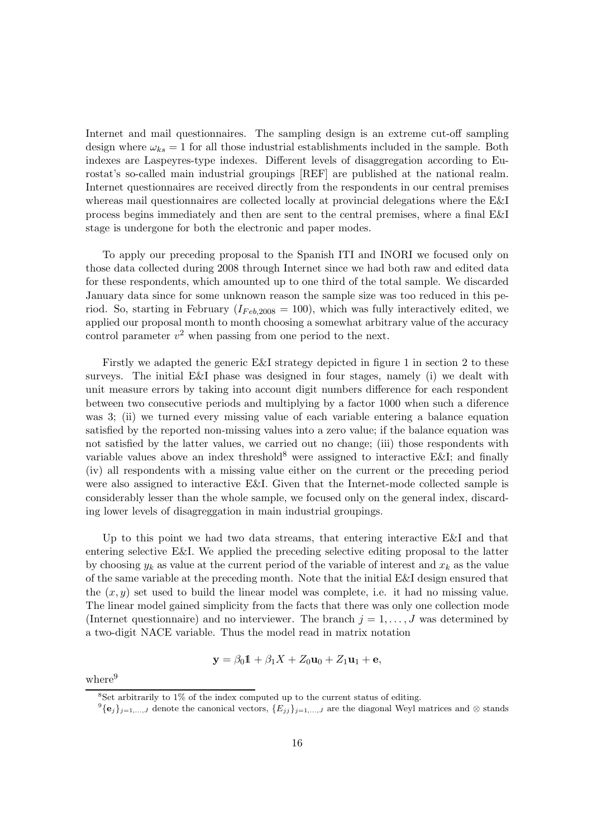Internet and mail questionnaires. The sampling design is an extreme cut-off sampling design where  $\omega_{ks} = 1$  for all those industrial establishments included in the sample. Both indexes are Laspeyres-type indexes. Different levels of disaggregation according to Eurostat's so-called main industrial groupings [REF] are published at the national realm. Internet questionnaires are received directly from the respondents in our central premises whereas mail questionnaires are collected locally at provincial delegations where the E&I process begins immediately and then are sent to the central premises, where a final E&I stage is undergone for both the electronic and paper modes.

To apply our preceding proposal to the Spanish ITI and INORI we focused only on those data collected during 2008 through Internet since we had both raw and edited data for these respondents, which amounted up to one third of the total sample. We discarded January data since for some unknown reason the sample size was too reduced in this period. So, starting in February  $(I_{Feb,2008} = 100)$ , which was fully interactively edited, we applied our proposal month to month choosing a somewhat arbitrary value of the accuracy control parameter  $v^2$  when passing from one period to the next.

Firstly we adapted the generic E&I strategy depicted in figure 1 in section 2 to these surveys. The initial E&I phase was designed in four stages, namely (i) we dealt with unit measure errors by taking into account digit numbers difference for each respondent between two consecutive periods and multiplying by a factor 1000 when such a diference was 3; (ii) we turned every missing value of each variable entering a balance equation satisfied by the reported non-missing values into a zero value; if the balance equation was not satisfied by the latter values, we carried out no change; (iii) those respondents with variable values above an index threshold<sup>8</sup> were assigned to interactive E&I; and finally (iv) all respondents with a missing value either on the current or the preceding period were also assigned to interactive E&I. Given that the Internet-mode collected sample is considerably lesser than the whole sample, we focused only on the general index, discarding lower levels of disagreggation in main industrial groupings.

Up to this point we had two data streams, that entering interactive E&I and that entering selective E&I. We applied the preceding selective editing proposal to the latter by choosing  $y_k$  as value at the current period of the variable of interest and  $x_k$  as the value of the same variable at the preceding month. Note that the initial E&I design ensured that the  $(x, y)$  set used to build the linear model was complete, i.e. it had no missing value. The linear model gained simplicity from the facts that there was only one collection mode (Internet questionnaire) and no interviewer. The branch  $j = 1, \ldots, J$  was determined by a two-digit NACE variable. Thus the model read in matrix notation

$$
\mathbf{y} = \beta_0 \mathbf{1} + \beta_1 X + Z_0 \mathbf{u}_0 + Z_1 \mathbf{u}_1 + \mathbf{e},
$$

where<sup>9</sup>

 $8$ Set arbitrarily to 1% of the index computed up to the current status of editing.

 $\{e_j\}_{j=1,\dots,J}$  denote the canonical vectors,  $\{E_{jj}\}_{j=1,\dots,J}$  are the diagonal Weyl matrices and  $\otimes$  stands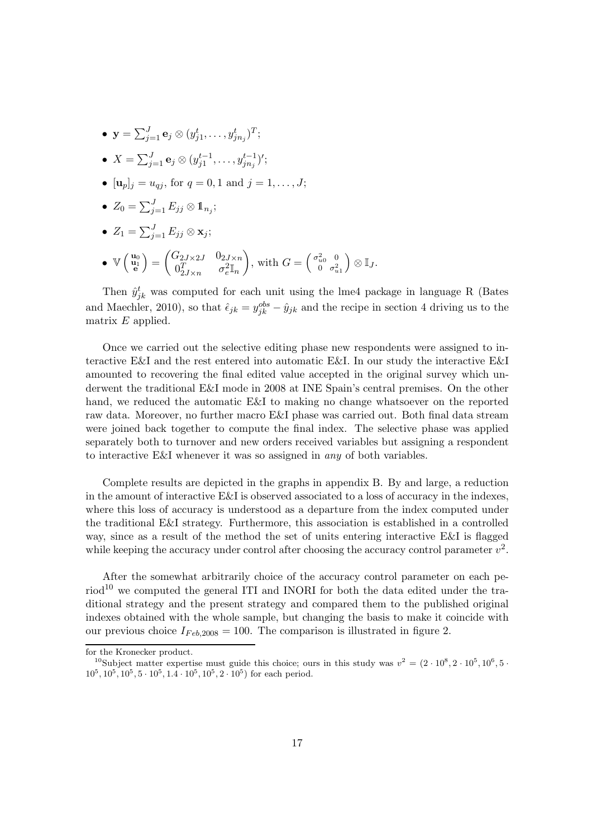- $\bullet\text{ } \textbf{y}=\sum_{j=1}^J \textbf{e}_j\otimes (y_{j1}^t, \ldots, y_{jn_j}^t)^T;$
- $X = \sum_{j=1}^{J} e_j \otimes (y_{j1}^{t-1}, \ldots, y_{jn_j}^{t-1})'$ ;
- $[\mathbf{u}_p]_i = u_{qi}$ , for  $q = 0, 1$  and  $j = 1, ..., J$ ;
- $Z_0 = \sum_{j=1}^{J} E_{jj} \otimes \mathbb{1}_{n_j};$

• 
$$
Z_1 = \sum_{j=1}^J E_{jj} \otimes \mathbf{x}_j;
$$

 $\bullet \ \mathbb{V} \left( \begin{smallmatrix} \mathbf{u}_0 \\ \mathbf{u}_1 \\ \mathbf{e} \end{smallmatrix} \right)$  $=$  $\int G_{2J\times 2J}$  02J $\times n$  $0^T_{2J\times n}$   $\sigma^2_e \mathbb{I}_n$  $\setminus$ , with  $G = \begin{pmatrix} \sigma_{u0}^2 & 0 \\ 0 & \sigma^2 \end{pmatrix}$  $0 \quad \sigma_{u1}^2$  $\Big) \otimes \mathbb{I}_J.$ 

Then  $\hat{y}_{jk}^t$  was computed for each unit using the lme4 package in language R (Bates and Maechler, 2010), so that  $\hat{\epsilon}_{jk} = y_{jk}^{obs} - \hat{y}_{jk}$  and the recipe in section 4 driving us to the matrix  $E$  applied.

Once we carried out the selective editing phase new respondents were assigned to interactive E&I and the rest entered into automatic E&I. In our study the interactive E&I amounted to recovering the final edited value accepted in the original survey which underwent the traditional E&I mode in 2008 at INE Spain's central premises. On the other hand, we reduced the automatic E&I to making no change whatsoever on the reported raw data. Moreover, no further macro E&I phase was carried out. Both final data stream were joined back together to compute the final index. The selective phase was applied separately both to turnover and new orders received variables but assigning a respondent to interactive E&I whenever it was so assigned in any of both variables.

Complete results are depicted in the graphs in appendix B. By and large, a reduction in the amount of interactive E&I is observed associated to a loss of accuracy in the indexes, where this loss of accuracy is understood as a departure from the index computed under the traditional E&I strategy. Furthermore, this association is established in a controlled way, since as a result of the method the set of units entering interactive E&I is flagged while keeping the accuracy under control after choosing the accuracy control parameter  $v^2$ .

After the somewhat arbitrarily choice of the accuracy control parameter on each period<sup>10</sup> we computed the general ITI and INORI for both the data edited under the traditional strategy and the present strategy and compared them to the published original indexes obtained with the whole sample, but changing the basis to make it coincide with our previous choice  $I_{Feb,2008} = 100$ . The comparison is illustrated in figure 2.

for the Kronecker product.

<sup>&</sup>lt;sup>10</sup>Subject matter expertise must guide this choice; ours in this study was  $v^2 = (2 \cdot 10^8, 2 \cdot 10^5, 10^6, 5 \cdot$  $10^5, 10^5, 10^5, 5 \cdot 10^5, 1.4 \cdot 10^5, 10^5, 2 \cdot 10^5$  for each period.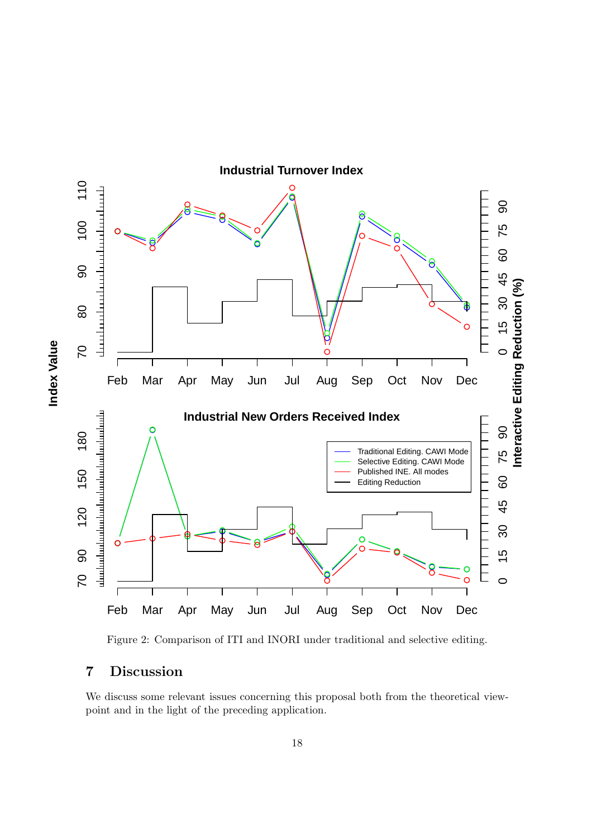

Figure 2: Comparison of ITI and INORI under traditional and selective editing.

# 7 Discussion

We discuss some relevant issues concerning this proposal both from the theoretical viewpoint and in the light of the preceding application.

18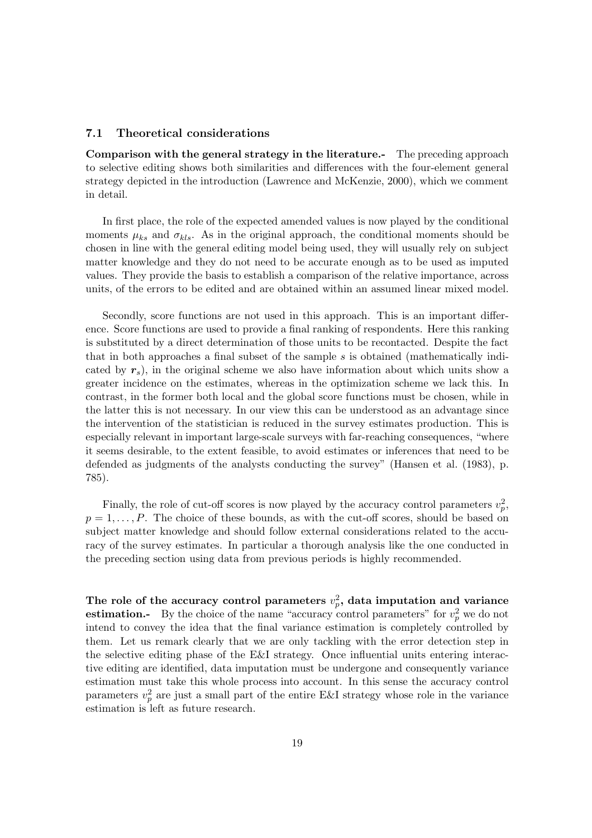#### 7.1 Theoretical considerations

Comparison with the general strategy in the literature.- The preceding approach to selective editing shows both similarities and differences with the four-element general strategy depicted in the introduction (Lawrence and McKenzie, 2000), which we comment in detail.

In first place, the role of the expected amended values is now played by the conditional moments  $\mu_{ks}$  and  $\sigma_{kls}$ . As in the original approach, the conditional moments should be chosen in line with the general editing model being used, they will usually rely on subject matter knowledge and they do not need to be accurate enough as to be used as imputed values. They provide the basis to establish a comparison of the relative importance, across units, of the errors to be edited and are obtained within an assumed linear mixed model.

Secondly, score functions are not used in this approach. This is an important difference. Score functions are used to provide a final ranking of respondents. Here this ranking is substituted by a direct determination of those units to be recontacted. Despite the fact that in both approaches a final subset of the sample  $s$  is obtained (mathematically indicated by  $r_s$ ), in the original scheme we also have information about which units show a greater incidence on the estimates, whereas in the optimization scheme we lack this. In contrast, in the former both local and the global score functions must be chosen, while in the latter this is not necessary. In our view this can be understood as an advantage since the intervention of the statistician is reduced in the survey estimates production. This is especially relevant in important large-scale surveys with far-reaching consequences, "where it seems desirable, to the extent feasible, to avoid estimates or inferences that need to be defended as judgments of the analysts conducting the survey" (Hansen et al. (1983), p. 785).

Finally, the role of cut-off scores is now played by the accuracy control parameters  $v_p^2$ ,  $p = 1, \ldots, P$ . The choice of these bounds, as with the cut-off scores, should be based on subject matter knowledge and should follow external considerations related to the accuracy of the survey estimates. In particular a thorough analysis like the one conducted in the preceding section using data from previous periods is highly recommended.

The role of the accuracy control parameters  $v_p^2$ , data imputation and variance **estimation.** By the choice of the name "accuracy control parameters" for  $v_p^2$  we do not intend to convey the idea that the final variance estimation is completely controlled by them. Let us remark clearly that we are only tackling with the error detection step in the selective editing phase of the E&I strategy. Once influential units entering interactive editing are identified, data imputation must be undergone and consequently variance estimation must take this whole process into account. In this sense the accuracy control parameters  $v_p^2$  are just a small part of the entire E&I strategy whose role in the variance estimation is left as future research.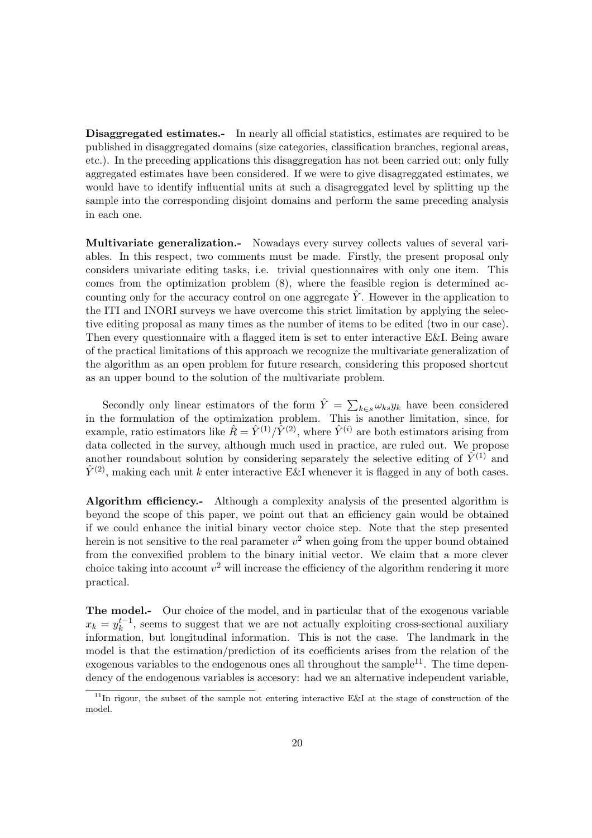Disaggregated estimates.- In nearly all official statistics, estimates are required to be published in disaggregated domains (size categories, classification branches, regional areas, etc.). In the preceding applications this disaggregation has not been carried out; only fully aggregated estimates have been considered. If we were to give disagreggated estimates, we would have to identify influential units at such a disagreggated level by splitting up the sample into the corresponding disjoint domains and perform the same preceding analysis in each one.

Multivariate generalization.- Nowadays every survey collects values of several variables. In this respect, two comments must be made. Firstly, the present proposal only considers univariate editing tasks, i.e. trivial questionnaires with only one item. This comes from the optimization problem (8), where the feasible region is determined accounting only for the accuracy control on one aggregate  $\hat{Y}$ . However in the application to the ITI and INORI surveys we have overcome this strict limitation by applying the selective editing proposal as many times as the number of items to be edited (two in our case). Then every questionnaire with a flagged item is set to enter interactive E&I. Being aware of the practical limitations of this approach we recognize the multivariate generalization of the algorithm as an open problem for future research, considering this proposed shortcut as an upper bound to the solution of the multivariate problem.

Secondly only linear estimators of the form  $\hat{Y} = \sum_{k \in s} \omega_{ks} y_k$  have been considered in the formulation of the optimization problem. This is another limitation, since, for example, ratio estimators like  $\hat{R} = \hat{Y}^{(1)}/\hat{Y}^{(2)}$ , where  $\hat{Y}^{(i)}$  are both estimators arising from data collected in the survey, although much used in practice, are ruled out. We propose another roundabout solution by considering separately the selective editing of  $\hat{Y}^{(1)}$  and  $\hat{Y}^{(2)}$ , making each unit k enter interactive E&I whenever it is flagged in any of both cases.

Algorithm efficiency.- Although a complexity analysis of the presented algorithm is beyond the scope of this paper, we point out that an efficiency gain would be obtained if we could enhance the initial binary vector choice step. Note that the step presented herein is not sensitive to the real parameter  $v^2$  when going from the upper bound obtained from the convexified problem to the binary initial vector. We claim that a more clever choice taking into account  $v^2$  will increase the efficiency of the algorithm rendering it more practical.

The model.- Our choice of the model, and in particular that of the exogenous variable  $x_k = y_k^{t-1}$ , seems to suggest that we are not actually exploiting cross-sectional auxiliary information, but longitudinal information. This is not the case. The landmark in the model is that the estimation/prediction of its coefficients arises from the relation of the exogenous variables to the endogenous ones all throughout the sample<sup>11</sup>. The time dependency of the endogenous variables is accesory: had we an alternative independent variable,

 $11$ In rigour, the subset of the sample not entering interactive E&I at the stage of construction of the model.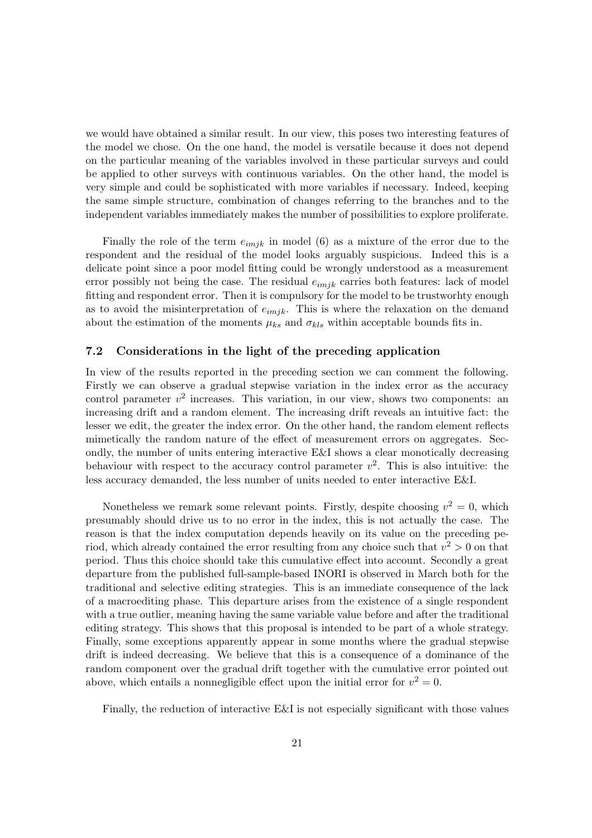we would have obtained a similar result. In our view, this poses two interesting features of the model we chose. On the one hand, the model is versatile because it does not depend on the particular meaning of the variables involved in these particular surveys and could be applied to other surveys with continuous variables. On the other hand, the model is very simple and could be sophisticated with more variables if necessary. Indeed, keeping the same simple structure, combination of changes referring to the branches and to the independent variables immediately makes the number of possibilities to explore proliferate.

Finally the role of the term  $e_{imjk}$  in model (6) as a mixture of the error due to the respondent and the residual of the model looks arguably suspicious. Indeed this is a delicate point since a poor model fitting could be wrongly understood as a measurement error possibly not being the case. The residual  $e_{imjk}$  carries both features: lack of model fitting and respondent error. Then it is compulsory for the model to be trustworhty enough as to avoid the misinterpretation of  $e_{imjk}$ . This is where the relaxation on the demand about the estimation of the moments  $\mu_{ks}$  and  $\sigma_{kls}$  within acceptable bounds fits in.

#### 7.2 Considerations in the light of the preceding application

In view of the results reported in the preceding section we can comment the following. Firstly we can observe a gradual stepwise variation in the index error as the accuracy control parameter  $v^2$  increases. This variation, in our view, shows two components: an increasing drift and a random element. The increasing drift reveals an intuitive fact: the lesser we edit, the greater the index error. On the other hand, the random element reflects mimetically the random nature of the effect of measurement errors on aggregates. Secondly, the number of units entering interactive E&I shows a clear monotically decreasing behaviour with respect to the accuracy control parameter  $v^2$ . This is also intuitive: the less accuracy demanded, the less number of units needed to enter interactive E&I.

Nonetheless we remark some relevant points. Firstly, despite choosing  $v^2 = 0$ , which presumably should drive us to no error in the index, this is not actually the case. The reason is that the index computation depends heavily on its value on the preceding period, which already contained the error resulting from any choice such that  $v^2 > 0$  on that period. Thus this choice should take this cumulative effect into account. Secondly a great departure from the published full-sample-based INORI is observed in March both for the traditional and selective editing strategies. This is an immediate consequence of the lack of a macroediting phase. This departure arises from the existence of a single respondent with a true outlier, meaning having the same variable value before and after the traditional editing strategy. This shows that this proposal is intended to be part of a whole strategy. Finally, some exceptions apparently appear in some months where the gradual stepwise drift is indeed decreasing. We believe that this is a consequence of a dominance of the random component over the gradual drift together with the cumulative error pointed out above, which entails a nonnegligible effect upon the initial error for  $v^2 = 0$ .

Finally, the reduction of interactive E&I is not especially significant with those values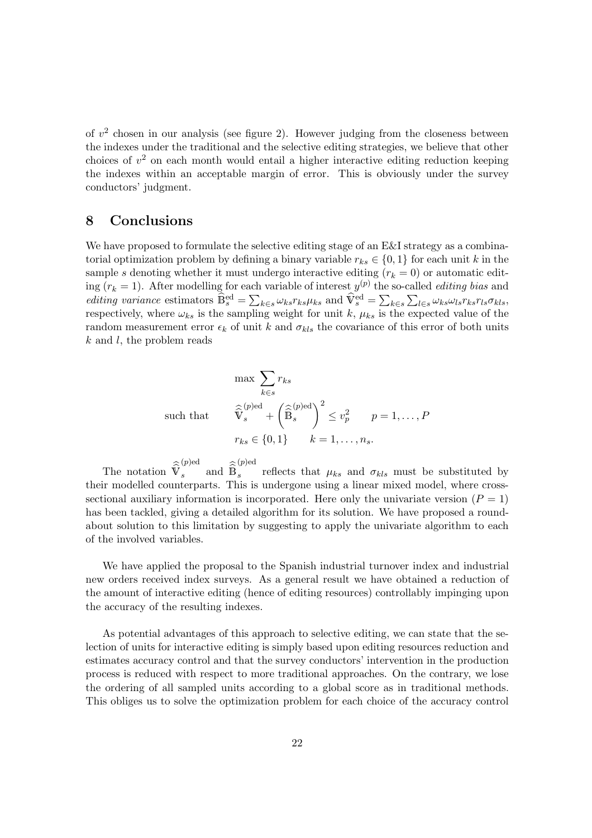of  $v^2$  chosen in our analysis (see figure 2). However judging from the closeness between the indexes under the traditional and the selective editing strategies, we believe that other choices of  $v^2$  on each month would entail a higher interactive editing reduction keeping the indexes within an acceptable margin of error. This is obviously under the survey conductors' judgment.

### 8 Conclusions

We have proposed to formulate the selective editing stage of an E&I strategy as a combinatorial optimization problem by defining a binary variable  $r_{ks} \in \{0,1\}$  for each unit k in the sample s denoting whether it must undergo interactive editing  $(r_k = 0)$  or automatic editing  $(r_k = 1)$ . After modelling for each variable of interest  $y^{(p)}$  the so-called *editing bias* and editing variance estimators  $\widehat{\mathbb{B}}_s^{\text{ed}} = \sum_{k \in s} \omega_{ks} r_{ks} \mu_{ks}$  and  $\widehat{\mathbb{V}}_s^{\text{ed}} = \sum_{k \in s} \sum_{l \in s} \omega_{ks} \omega_{ls} r_{ks} r_{ls} \sigma_{kls}$ , respectively, where  $\omega_{ks}$  is the sampling weight for unit k,  $\mu_{ks}$  is the expected value of the random measurement error  $\epsilon_k$  of unit k and  $\sigma_{kls}$  the covariance of this error of both units  $k$  and  $l$ , the problem reads

$$
\max \sum_{k \in s} r_{ks}
$$
\nsuch that

\n
$$
\widehat{\widehat{V}}_s^{(p) \text{ed}} + \left(\widehat{\widehat{B}}_s^{(p) \text{ed}}\right)^2 \leq v_p^2 \qquad p = 1, \dots, P
$$
\n
$$
r_{ks} \in \{0, 1\} \qquad k = 1, \dots, n_s.
$$

The notation  $V$  $(p)$ ed  $s \qquad \text{and} \quad \mathbb{B}$  $(p)$ ed s reflects that  $\mu_{ks}$  and  $\sigma_{kls}$  must be substituted by their modelled counterparts. This is undergone using a linear mixed model, where crosssectional auxiliary information is incorporated. Here only the univariate version  $(P = 1)$ has been tackled, giving a detailed algorithm for its solution. We have proposed a roundabout solution to this limitation by suggesting to apply the univariate algorithm to each of the involved variables.

We have applied the proposal to the Spanish industrial turnover index and industrial new orders received index surveys. As a general result we have obtained a reduction of the amount of interactive editing (hence of editing resources) controllably impinging upon the accuracy of the resulting indexes.

As potential advantages of this approach to selective editing, we can state that the selection of units for interactive editing is simply based upon editing resources reduction and estimates accuracy control and that the survey conductors' intervention in the production process is reduced with respect to more traditional approaches. On the contrary, we lose the ordering of all sampled units according to a global score as in traditional methods. This obliges us to solve the optimization problem for each choice of the accuracy control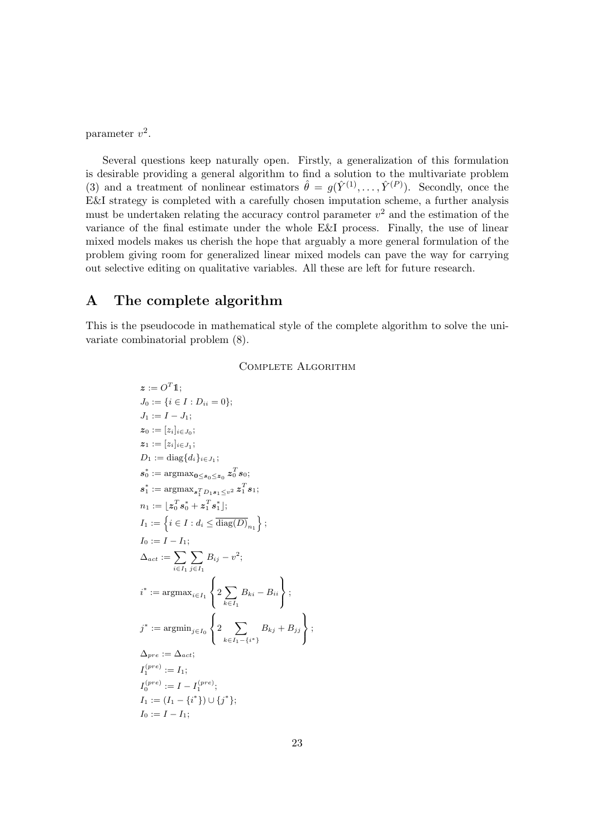parameter  $v^2$ .

Several questions keep naturally open. Firstly, a generalization of this formulation is desirable providing a general algorithm to find a solution to the multivariate problem (3) and a treatment of nonlinear estimators  $\hat{\theta} = g(\hat{Y}^{(1)}, \dots, \hat{Y}^{(P)})$ . Secondly, once the E&I strategy is completed with a carefully chosen imputation scheme, a further analysis must be undertaken relating the accuracy control parameter  $v^2$  and the estimation of the variance of the final estimate under the whole E&I process. Finally, the use of linear mixed models makes us cherish the hope that arguably a more general formulation of the problem giving room for generalized linear mixed models can pave the way for carrying out selective editing on qualitative variables. All these are left for future research.

## A The complete algorithm

This is the pseudocode in mathematical style of the complete algorithm to solve the univariate combinatorial problem (8).

#### Complete Algorithm

$$
z := OT1;
$$
  
\n
$$
J_0 := \{i \in I : D_{ii} = 0\};
$$
  
\n
$$
J_1 := I - J_1;
$$
  
\n
$$
z_0 := [z_i]_{i \in J_0};
$$
  
\n
$$
z_1 := [z_i]_{i \in J_1};
$$
  
\n
$$
D_1 := \text{diag}\{d_i\}_{i \in J_1};
$$
  
\n
$$
s_0^* := \text{argmax}_{0 \le s_0 \le z_0} z_0^T s_0;
$$
  
\n
$$
s_1^* := \text{argmax}_{s_1^T D_1 s_1 \le v^2} z_1^T s_1;
$$
  
\n
$$
n_1 := \{z_0^T s_0^* + z_1^T s_1^* \};
$$
  
\n
$$
I_1 := \{i \in I : d_i \le \overline{\text{diag}(D)}_{n_1}\};
$$
  
\n
$$
I_0 := I - I_1;
$$
  
\n
$$
\Delta_{act} := \sum_{i \in I_1} \sum_{j \in I_1} B_{ij} - v^2;
$$
  
\n
$$
i^* := \text{argmax}_{i \in I_1} \left\{ 2 \sum_{k \in I_1} B_{ki} - B_{ii} \right\};
$$
  
\n
$$
j^* := \text{argmin}_{j \in I_0} \left\{ 2 \sum_{k \in I_1 - \{i^*\}} B_{kj} + B_{jj} \right\};
$$
  
\n
$$
\Delta_{pre} := \Delta_{act};
$$
  
\n
$$
I_1^{(pre)} := I_1;
$$
  
\n
$$
I_0^{(pre)} := I - I_1;
$$
  
\n
$$
I_1 := (I_1 - \{i^*\}) \cup \{j^*\};
$$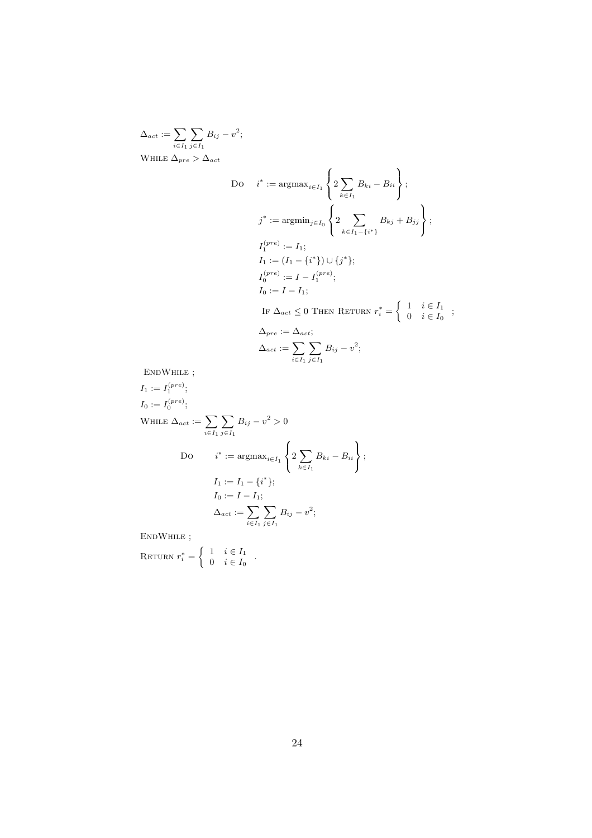$\Delta_{act} := \sum$  $i \in I_1$  $\overline{\phantom{0}}$  $j \in I_1$  $B_{ij} - v^2;$ WHILE  $\Delta_{pre} > \Delta_{act}$ 

Do 
$$
i^* := \operatorname{argmax}_{i \in I_1} \left\{ 2 \sum_{k \in I_1} B_{ki} - B_{ii} \right\};
$$
  
\n $j^* := \operatorname{argmin}_{j \in I_0} \left\{ 2 \sum_{k \in I_1 - \{i^*\}} B_{kj} + B_{jj} \right\};$   
\n $I_1^{(pre)} := I_1;$   
\n $I_1 := (I_1 - \{i^*\}) \cup \{j^*\};$   
\n $I_0^{(pre)} := I - I_1^{(pre)};$   
\n $I_0 := I - I_1;$   
\nIF  $\Delta_{act} \leq 0$  THEN RETURN  $r_i^* = \begin{cases} 1 & i \in I_1 \\ 0 & i \in I_0 \end{cases};$   
\n $\Delta_{pre} := \Delta_{act};$   
\n $\Delta_{act} := \sum_{i \in I_1} \sum_{j \in I_1} B_{ij} - v^2;$ 

ENDWHILE ;

$$
I_1 := I_1^{(pre)};
$$
  
\n
$$
I_0 := I_0^{(pre)};
$$
  
\n
$$
\text{WHILE } \Delta_{act} := \sum_{i \in I_1} \sum_{j \in I_1} B_{ij} - v^2 > 0
$$
  
\n
$$
\text{DO} \qquad i^* := \operatorname{argmax}_{i \in I_1} \left\{ 2 \sum_{k \in I_1} B_{ki} - B_{ii} \right\};
$$
  
\n
$$
I_1 := I_1 - \{i^*\};
$$
  
\n
$$
I_0 := I - I_1;
$$
  
\n
$$
\Delta_{act} := \sum_{i \in I_1} \sum_{j \in I_1} B_{ij} - v^2;
$$

EndWhile ;

RETURN  $r_i^* = \begin{cases} 1 & i \in I_1 \\ 0 & i \in I_2 \end{cases}$  $\begin{array}{ccc} 1 & i \in I_1 \\ 0 & i \in I_0 \end{array}$ .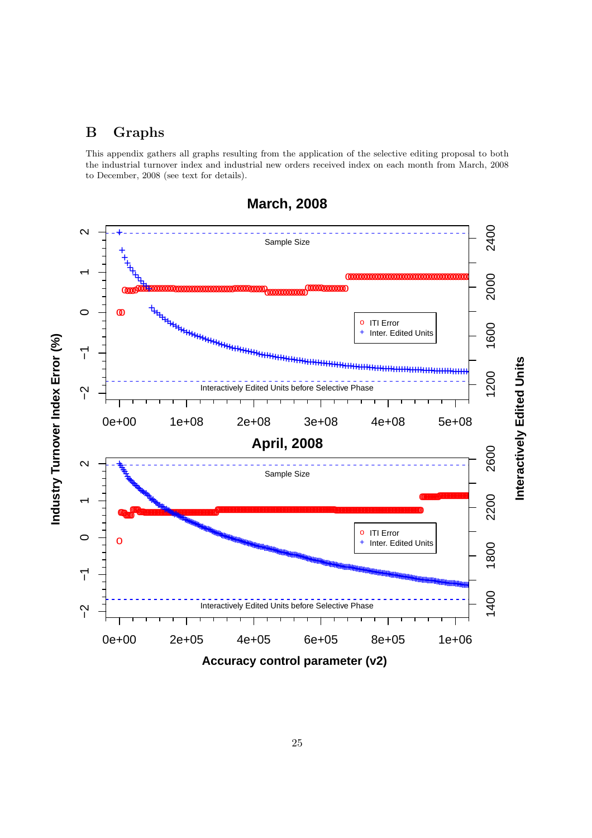# B Graphs

This appendix gathers all graphs resulting from the application of the selective editing proposal to both the industrial turnover index and industrial new orders received index on each month from March, 2008 to December, 2008 (see text for details).



**March, 2008**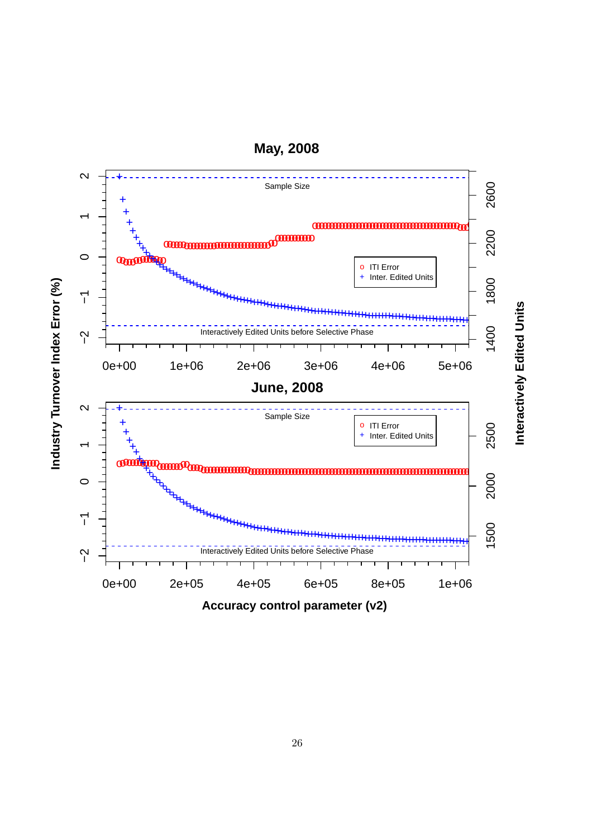**May, 2008**

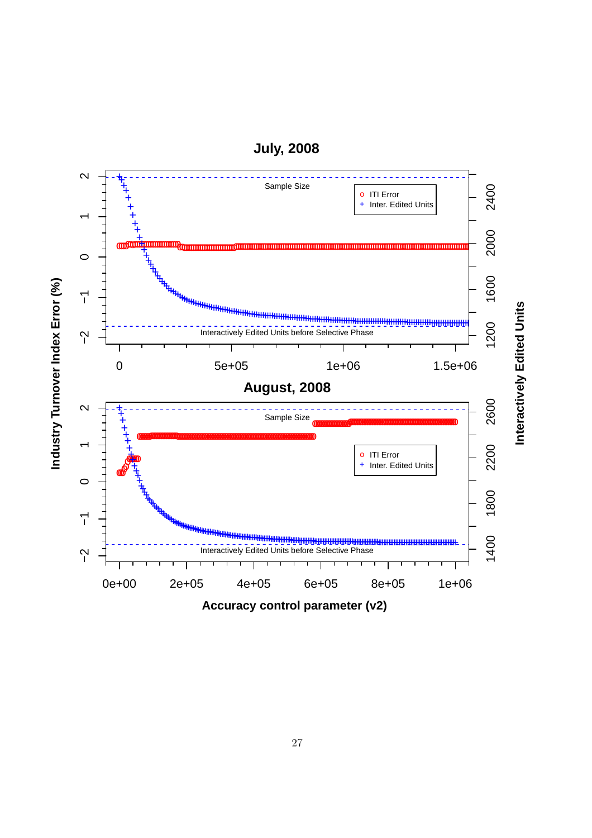**July, 2008**

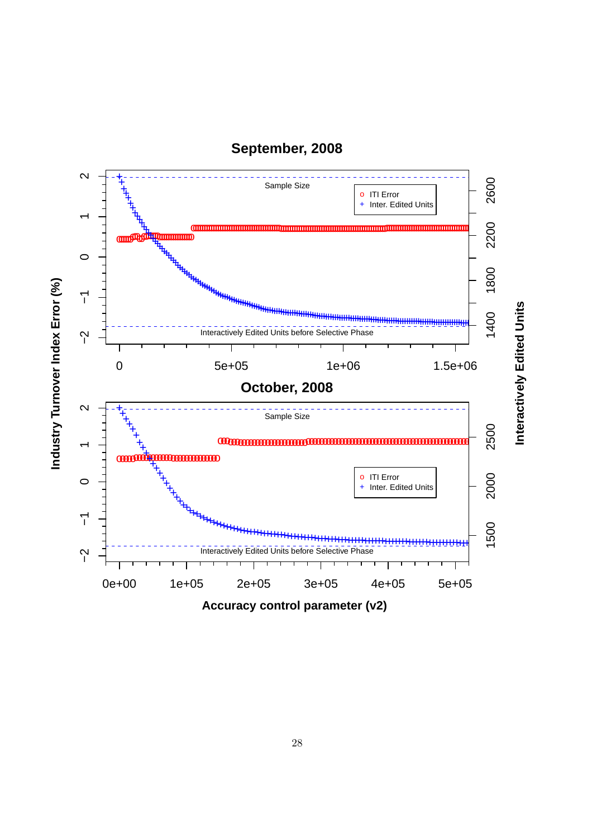# **September, 2008**

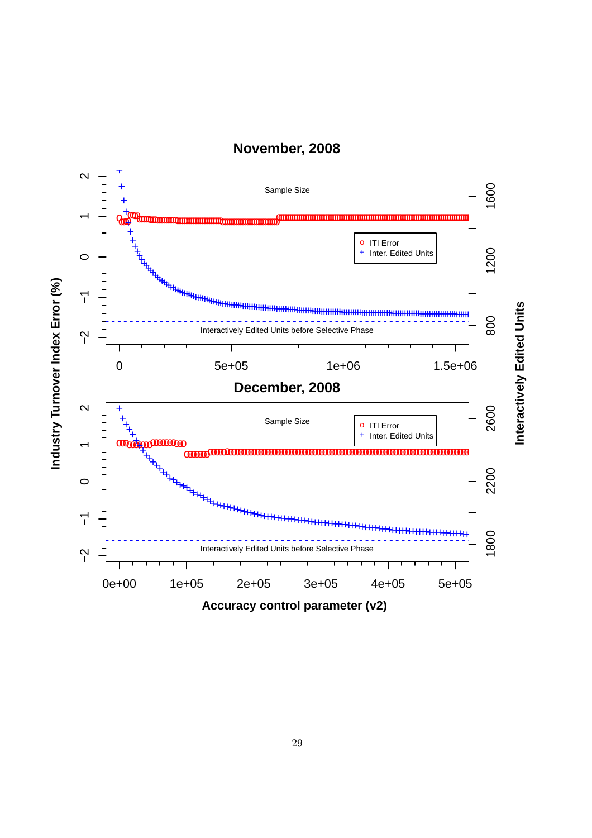# **November, 2008**

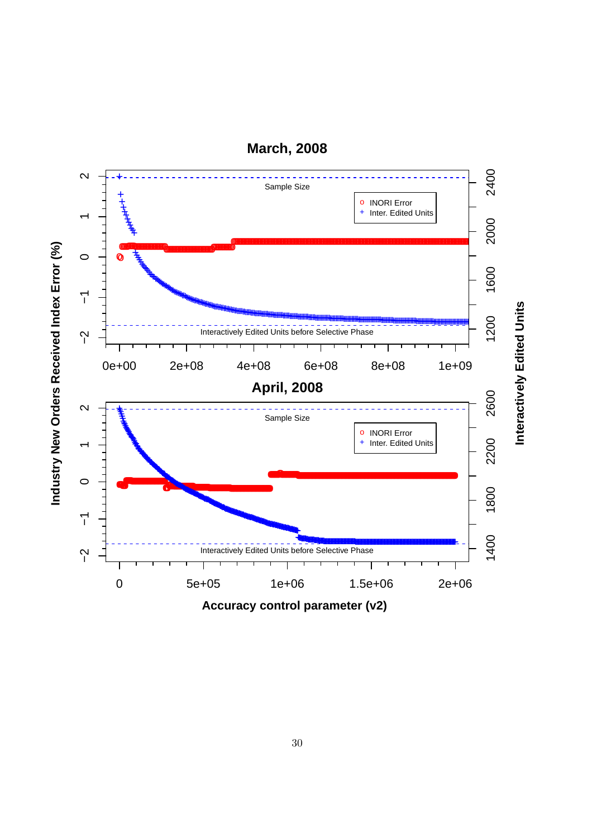

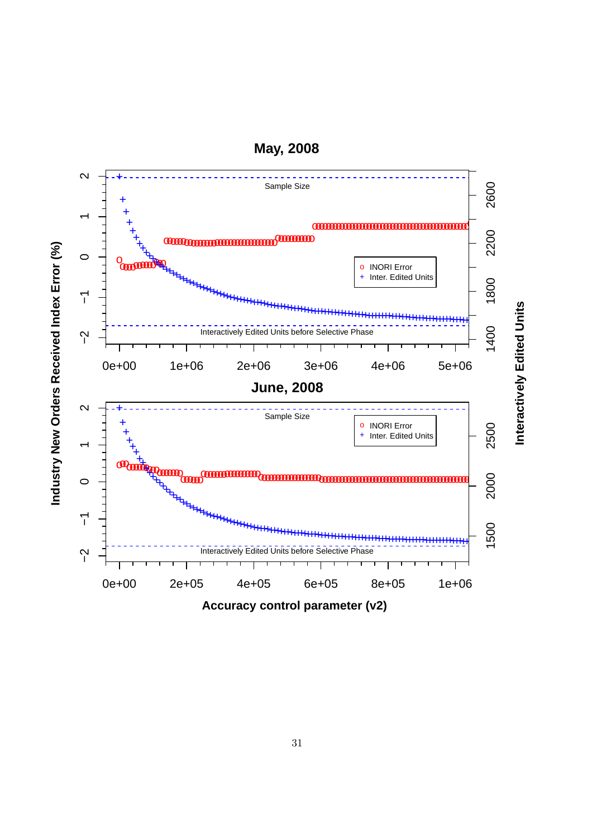

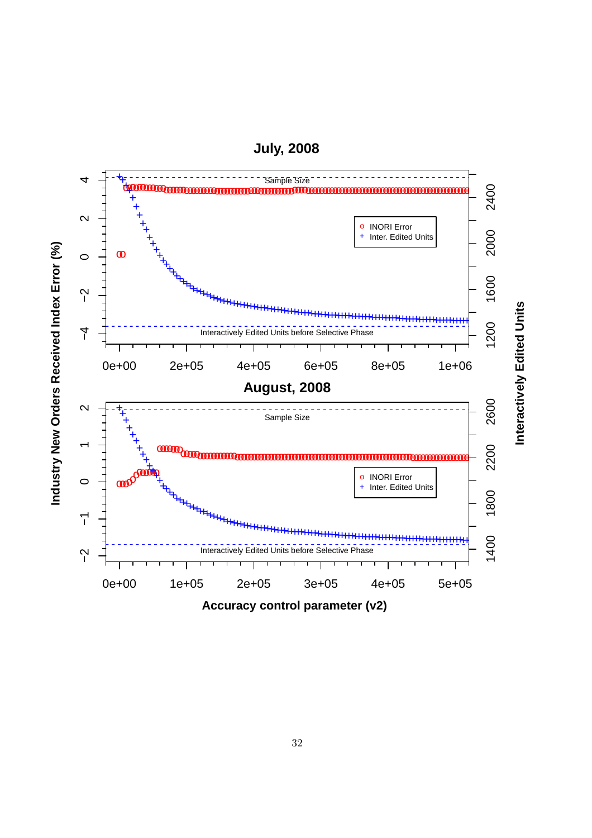**July, 2008**



32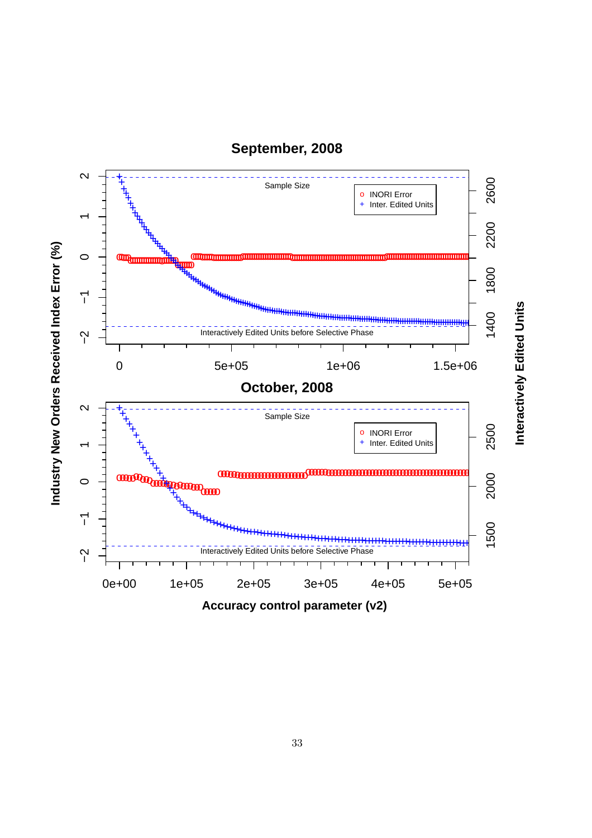# **September, 2008**

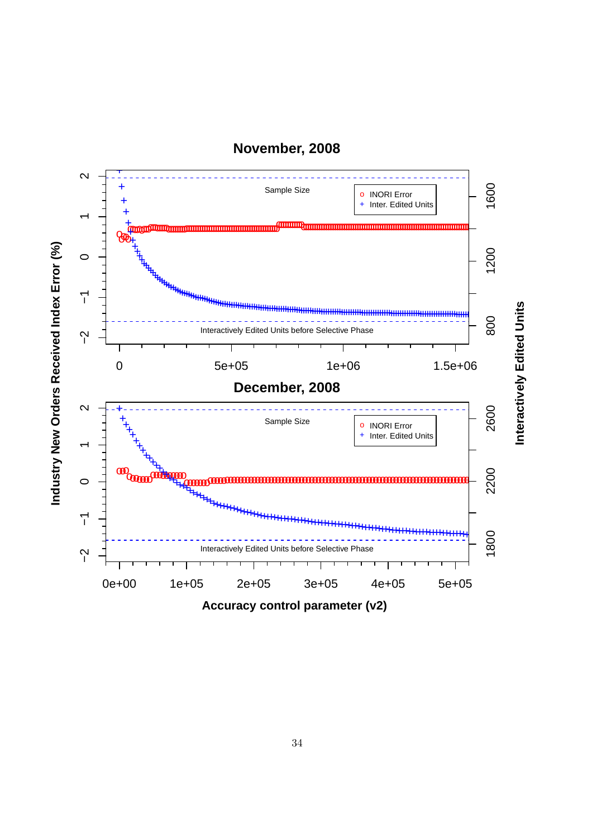# **November, 2008**

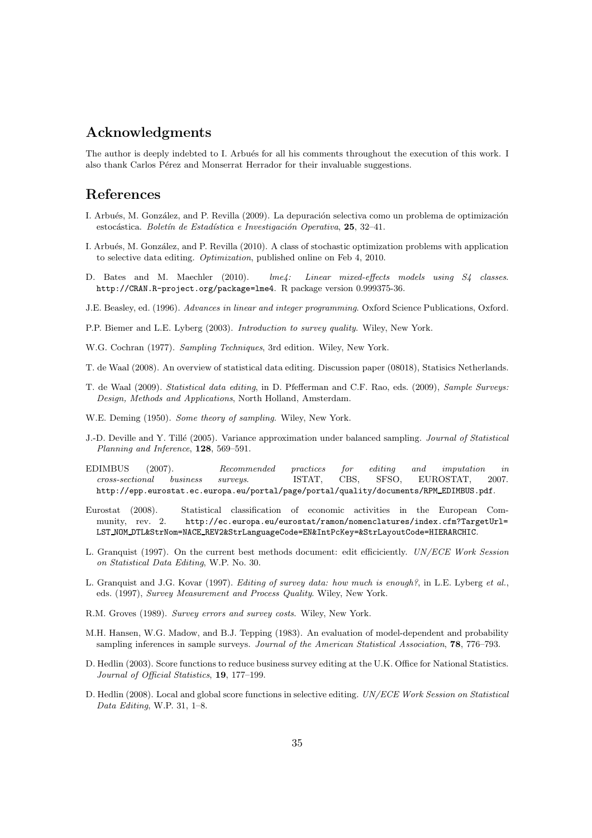## Acknowledgments

The author is deeply indebted to I. Arbués for all his comments throughout the execution of this work. I also thank Carlos Pérez and Monserrat Herrador for their invaluable suggestions.

### References

- I. Arbués, M. González, and P. Revilla (2009). La depuración selectiva como un problema de optimización estocástica. *Boletín de Estadística e Investigación Operativa*, 25, 32-41.
- I. Arbu´es, M. Gonz´alez, and P. Revilla (2010). A class of stochastic optimization problems with application to selective data editing. *Optimization*, published online on Feb 4, 2010.
- D. Bates and M. Maechler (2010). *lme4: Linear mixed-effects models using S4 classes*. http://CRAN.R-project.org/package=lme4. R package version 0.999375-36.
- J.E. Beasley, ed. (1996). *Advances in linear and integer programming*. Oxford Science Publications, Oxford.
- P.P. Biemer and L.E. Lyberg (2003). *Introduction to survey quality*. Wiley, New York.
- W.G. Cochran (1977). *Sampling Techniques*, 3rd edition. Wiley, New York.
- T. de Waal (2008). An overview of statistical data editing. Discussion paper (08018), Statisics Netherlands.
- T. de Waal (2009). *Statistical data editing*, in D. Pfefferman and C.F. Rao, eds. (2009), *Sample Surveys: Design, Methods and Applications*, North Holland, Amsterdam.
- W.E. Deming (1950). *Some theory of sampling*. Wiley, New York.
- J.-D. Deville and Y. Till´e (2005). Variance approximation under balanced sampling. *Journal of Statistical Planning and Inference*, 128, 569–591.
- EDIMBUS (2007). *Recommended practices for editing and imputation in cross-sectional business surveys*. ISTAT, CBS, SFSO, EUROSTAT, 2007. http://epp.eurostat.ec.europa.eu/portal/page/portal/quality/documents/RPM EDIMBUS.pdf.
- Eurostat (2008). Statistical classification of economic activities in the European Community, rev. 2. http://ec.europa.eu/eurostat/ramon/nomenclatures/index.cfm?TargetUrl= LST NOM DTL&StrNom=NACE REV2&StrLanguageCode=EN&IntPcKey=&StrLayoutCode=HIERARCHIC.
- L. Granquist (1997). On the current best methods document: edit efficiciently. *UN/ECE Work Session on Statistical Data Editing*, W.P. No. 30.
- L. Granquist and J.G. Kovar (1997). *Editing of survey data: how much is enough?*, in L.E. Lyberg *et al.*, eds. (1997), *Survey Measurement and Process Quality*. Wiley, New York.
- R.M. Groves (1989). *Survey errors and survey costs*. Wiley, New York.
- M.H. Hansen, W.G. Madow, and B.J. Tepping (1983). An evaluation of model-dependent and probability sampling inferences in sample surveys. *Journal of the American Statistical Association*, 78, 776–793.
- D. Hedlin (2003). Score functions to reduce business survey editing at the U.K. Office for National Statistics. *Journal of Official Statistics*, 19, 177–199.
- D. Hedlin (2008). Local and global score functions in selective editing. *UN/ECE Work Session on Statistical Data Editing*, W.P. 31, 1–8.